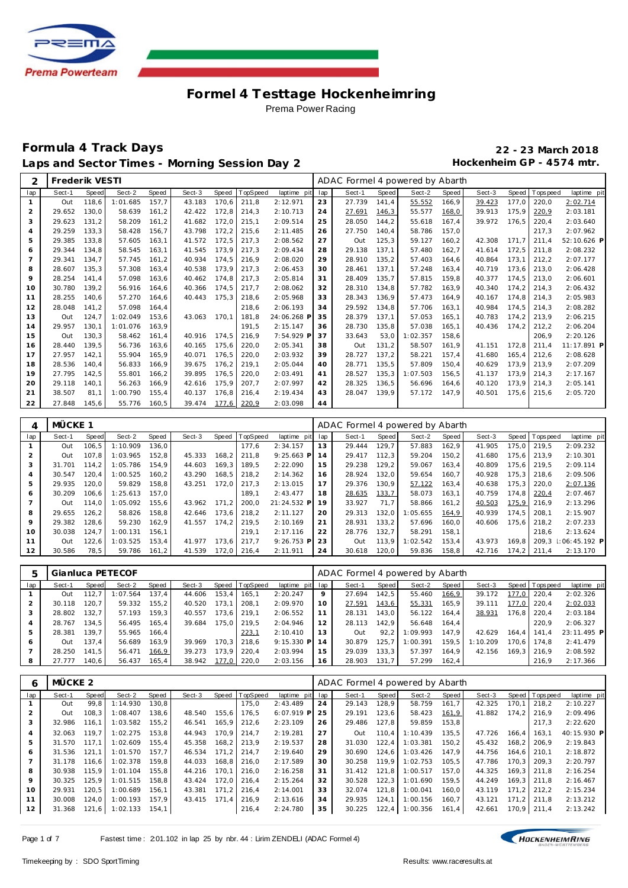

## **Formula 4 Track Days 22 - 23 March 2018** Laps and Sector Times - Morning Session Day 2 **Hockenheim GP** - 4574 mtr.

| 2              | Frederik VESTI |       |          |       |        |       |          |             |     | ADAC Formel 4 powered by Abarth |       |          |       |        |       |            |             |
|----------------|----------------|-------|----------|-------|--------|-------|----------|-------------|-----|---------------------------------|-------|----------|-------|--------|-------|------------|-------------|
| lap            | Sect-1         | Speed | Sect-2   | Speed | Sect-3 | Speed | TopSpeed | laptime pit | lap | Sect-1                          | Speed | Sect-2   | Speed | Sect-3 | Speed | T ops peed | laptime pit |
|                | Out            | 118.6 | 1:01.685 | 157,7 | 43.183 | 170.6 | 211,8    | 2:12.971    | 23  | 27.739                          | 141,4 | 55.552   | 166,9 | 39.423 | 177.0 | 220,0      | 2:02.714    |
| $\overline{2}$ | 29.652         | 130.0 | 58.639   | 161.2 | 42.422 | 172,8 | 214,3    | 2:10.713    | 24  | 27.691                          | 146,3 | 55.577   | 168,0 | 39.913 | 175,9 | 220,9      | 2:03.181    |
| 3              | 29.623         | 131.2 | 58.209   | 161.2 | 41.682 | 172.0 | 215,1    | 2:09.514    | 25  | 28.050                          | 144.2 | 55.618   | 167.4 | 39.972 | 176.5 | 220.4      | 2:03.640    |
| 4              | 29.259         | 133,3 | 58.428   | 156,7 | 43.798 | 172,2 | 215,6    | 2:11.485    | 26  | 27.750                          | 140,4 | 58.786   | 157,0 |        |       | 217,3      | 2:07.962    |
| 5              | 29.385         | 133.8 | 57.605   | 163.1 | 41.572 | 172.5 | 217,3    | 2:08.562    | 27  | Out                             | 125,3 | 59.127   | 160,2 | 42.308 | 171.7 | 211.4      | 52:10.626 P |
| 6              | 29.344         | 134.8 | 58.545   | 163.1 | 41.545 | 173.9 | 217,3    | 2:09.434    | 28  | 29.138                          | 137.1 | 57.480   | 162.7 | 41.614 | 172.5 | 211.8      | 2:08.232    |
| $\overline{7}$ | 29.341         | 134.7 | 57.745   | 161.2 | 40.934 | 174.5 | 216,9    | 2:08.020    | 29  | 28.910                          | 135.2 | 57.403   | 164.6 | 40.864 | 173.1 | 212.2      | 2:07.177    |
| 8              | 28.607         | 135.3 | 57.308   | 163.4 | 40.538 | 173.9 | 217,3    | 2:06.453    | 30  | 28.461                          | 137.1 | 57.248   | 163,4 | 40.719 | 173.6 | 213.0      | 2:06.428    |
| 9              | 28.254         | 141.4 | 57.098   | 163.6 | 40.462 | 174.8 | 217.3    | 2:05.814    | 31  | 28.409                          | 135.7 | 57.815   | 159.8 | 40.377 | 174,5 | 213.0      | 2:06.601    |
| 10             | 30.780         | 139.2 | 56.916   | 164.6 | 40.366 | 174.5 | 217,7    | 2:08.062    | 32  | 28.310                          | 134.8 | 57.782   | 163.9 | 40.340 | 174.2 | 214.3      | 2:06.432    |
| 11             | 28.255         | 140.6 | 57.270   | 164.6 | 40.443 | 175.3 | 218,6    | 2:05.968    | 33  | 28.343                          | 136,9 | 57.473   | 164,9 | 40.167 | 174.8 | 214.3      | 2:05.983    |
| 12             | 28.048         | 141.2 | 57.098   | 164.4 |        |       | 218.6    | 2:06.193    | 34  | 29.592                          | 134.8 | 57.706   | 163.1 | 40.984 | 174.5 | 214.3      | 2:08.282    |
| 13             | Out            | 124.7 | 1:02.049 | 153.6 | 43.063 | 170.1 | 181.8    | 24:06.268 F | 35  | 28.379                          | 137.1 | 57.053   | 165.1 | 40.783 | 174.2 | 213.9      | 2:06.215    |
| 14             | 29.957         | 130,1 | 1:01.076 | 163,9 |        |       | 191.5    | 2:15.147    | 36  | 28.730                          | 135,8 | 57.038   | 165,1 | 40.436 | 174,2 | 212,2      | 2:06.204    |
| 15             | Out            | 130.3 | 58.462   | 161.4 | 40.916 | 174.5 | 216,9    | 7:54.929 F  | 37  | 33.643                          | 53.0  | 1:02.357 | 158,6 |        |       | 206.9      | 2:20.126    |
| 16             | 28.440         | 139.5 | 56.736   | 163.6 | 40.165 | 175.6 | 220,0    | 2:05.341    | 38  | Out                             | 131.2 | 58.507   | 161,9 | 41.151 | 172.8 | 211.4      | 11:17.891 P |
| 17             | 27.957         | 142,1 | 55.904   | 165.9 | 40.071 | 176.5 | 220,0    | 2:03.932    | 39  | 28.727                          | 137.2 | 58.221   | 157.4 | 41.680 | 165.4 | 212.6      | 2:08.628    |
| 18             | 28.536         | 140.4 | 56.833   | 166,9 | 39.675 | 176,2 | 219,1    | 2:05.044    | 40  | 28.771                          | 135,5 | 57.809   | 150,4 | 40.629 | 173.9 | 213.9      | 2:07.209    |
| 19             | 27.795         | 142.5 | 55.801   | 166.2 | 39.895 | 176.5 | 220.0    | 2:03.491    | 41  | 28.527                          | 135.3 | 1:07.503 | 156.5 | 41.137 | 173.9 | 214.3      | 2:17.167    |
| 20             | 29.118         | 140.1 | 56.263   | 166.9 | 42.616 | 175,9 | 207,7    | 2:07.997    | 42  | 28.325                          | 136,5 | 56.696   | 164,6 | 40.120 | 173,9 | 214.3      | 2:05.141    |
| 21             | 38.507         | 81.1  | 1:00.790 | 155.4 | 40.137 | 176,8 | 216,4    | 2:19.434    | 43  | 28.047                          | 139.9 | 57.172   | 147.9 | 40.501 | 175,6 | 215,6      | 2:05.720    |
| 22             | 27.848         | 145.6 | 55.776   | 160.5 | 39.474 | 177.6 | 220.9    | 2:03.098    | 44  |                                 |       |          |       |        |       |            |             |

| 4              | MÜCKE 1 |       |          |       |        |       |             |              |     | ADAC Formel 4 powered by Abarth |       |          |       |        |       |            |                 |
|----------------|---------|-------|----------|-------|--------|-------|-------------|--------------|-----|---------------------------------|-------|----------|-------|--------|-------|------------|-----------------|
| lap            | Sect-1  | Speed | Sect-2   | Speed | Sect-3 | Speed | TopSpeed    | laptime pit  | lap | Sect-1                          | Speed | Sect-2   | Speed | Sect-3 | Speed | J Topspeed | laptime pit     |
|                | Out     | 106.5 | 1:10.909 | 136.0 |        |       | 177.6       | 2:34.157     | 13  | 29.444                          | 129.7 | 57.883   | 162.9 | 41.905 | 175.0 | 219.5      | 2:09.232        |
| $\overline{2}$ | Out     | 107.8 | 1:03.965 | 152.8 | 45.333 | 168.2 | 211.8       | $9:25.663$ P | 14  | 29.417                          | 112.3 | 59.204   | 150,2 | 41.680 | 175.6 | 213.9      | 2:10.301        |
| 3              | 31.701  | 114.2 | 1:05.786 | 154.9 | 44.603 | 169,3 | 189.5       | 2:22.090     | 15  | 29.238                          | 129.2 | 59.067   | 163,4 | 40.809 | 175.6 | 219.5      | 2:09.114        |
| 4              | 30.547  | 120.4 | 1:00.525 | 160.2 | 43.290 | 168,5 | 218.2       | 2:14.362     | 16  | 28.924                          | 132,0 | 59.654   | 160,7 | 40.928 | 175.3 | 218.6      | 2:09.506        |
| 5              | 29.935  | 120.0 | 59.829   | 158.8 | 43.251 | 172.0 | 217.3       | 2:13.015     | 17  | 29.376                          | 130.9 | 57.122   | 163,4 | 40.638 | 175.3 | 220.0      | 2:07.136        |
| 6              | 30.209  | 106.6 | 1:25.613 | 157.0 |        |       | 189.1       | 2:43.477     | 18  | 28.635                          | 133,7 | 58.073   | 163,1 | 40.759 | 174.8 | 220,4      | 2:07.467        |
|                | Out     | 114.0 | 1:05.092 | 155.6 | 43.962 | 171.2 | 200.0       | 21:24.532 P  | 19  | 33.927                          | 71.7  | 58.866   | 161,2 | 40.503 | 175,9 | 216.9      | 2:13.296        |
| 8              | 29.655  | 126.2 | 58.826   | 158.8 | 42.646 |       | 173.6 218.2 | 2:11.127     | 20  | 29.313                          | 132.0 | 1:05.655 | 164,9 | 40.939 | 174.5 | 208.1      | 2:15.907        |
| 9              | 29.382  | 128.6 | 59.230   | 162.9 | 41.557 | 174.2 | 219.5       | 2:10.169     | 21  | 28.931                          | 133.2 | 57.696   | 160.0 | 40.606 | 175.6 | 218.2      | 2:07.233        |
| 10             | 30.038  | 124.7 | 1:00.131 | 156.1 |        |       | 219.1       | 2:17.116     | 22  | 28.776                          | 132.7 | 58.291   | 158.1 |        |       | 218.6      | 2:13.624        |
| 11             | Out     | 122,6 | 1:03.525 | 153.4 | 41.977 | 173.6 | 217.7       | $9:26.753$ P | 23  | Out                             | 113.9 | 1:02.542 | 153.4 | 43.973 | 169.8 | 209.3      | $1:06:45.192$ P |
| 12             | 30.586  | 78,5  | 59.786   | 161,2 | 41.539 | 172.0 | 216.4       | 2:11.911     | 24  | 30.618                          | 120.0 | 59.836   | 158,8 | 42.716 | 174.2 | 211.4      | 2:13.170        |

|     |        |         | Gianluca PETECOF |       |        |       |                 |                 |    | ADAC Formel 4 powered by Abarth |       |          |       |          |        |                 |             |
|-----|--------|---------|------------------|-------|--------|-------|-----------------|-----------------|----|---------------------------------|-------|----------|-------|----------|--------|-----------------|-------------|
| lap | Sect-1 | Speed   | Sect-2           | Speed | Sect-3 | Speed | <b>TopSpeed</b> | laptime pit lap |    | Sect-1                          | Speed | Sect-2   | Speed | Sect-3   |        | Speed Tops peed | laptime pit |
|     | Out    | 112,7   | 1:07.564         | 137.4 | 44.606 | 153.4 | 165.1           | 2:20.247        | 9  | 27.694                          | 142.5 | 55.460   | 166,9 | 39.172   | 177.0  | 220.4           | 2:02.326    |
|     | 30.118 | 120.7   | 59.332           | 155.2 | 40.520 | 173.1 | 208.1           | 2:09.970        | 10 | 27.591                          | 143,6 | 55.331   | 165,9 | 39.111   | 77.0   | 220.4           | 2:02.033    |
|     | 28.802 | 132.7   | 57.193           | 159.3 | 40.557 | 173.6 | 219.1           | 2:06.552        |    | 28.131                          | 143.0 | 56.122   | 164.4 | 38.931   | 176.8  | 220.4           | 2:03.184    |
| 4   | 28.767 | 134.5   | 56.495           | 165.4 | 39.684 | 175.0 | 219.5           | 2:04.946        | 12 | 28.113                          | 142.9 | 56.648   | 164.4 |          |        | 220.9           | 2:06.327    |
| 5   | 28.381 | 139.7   | 55.965           | 166.4 |        |       | 223,1           | 2:10.410        | 13 | Out                             | 92.2  | 1:09.993 | 147.9 | 42.629   | 164.4  | 141.4           | 23:11.495 P |
| 6   | Out    | 137.4   | 56.689           | 163.9 | 39.969 | 170.3 | 218.6           | $9:15.330$ P    | 14 | 30.879                          | 125.7 | 1:00.391 | 159.5 | 1:10.209 | 170.61 | 174.8           | 2:41.479    |
|     | 28.250 | 141.5   | 56.471           | 166,9 | 39.273 | 173.9 | 220.4           | 2:03.994        | 15 | 29.039                          | 133.3 | 57.397   | 164.9 | 42.156   | 169.3  | 216.9           | 2:08.592    |
| 8   | 27.777 | 140.6 l | 56.437           | 165.4 | 38.942 | 177.0 | 220.0           | 2:03.156        | 16 | 28.903                          | 131.7 | 57.299   | 162,4 |          |        | 216.9           | 2:17.366    |

| 6              | MÜCKE 2 |       |          |       |        |         |               |              |     | ADAC Formel 4 powered by Abarth |       |          |       |        |       |                  |             |
|----------------|---------|-------|----------|-------|--------|---------|---------------|--------------|-----|---------------------------------|-------|----------|-------|--------|-------|------------------|-------------|
| lap            | Sect-1  | Speed | Sect-2   | Speed | Sect-3 | Speed   | TopSpeed      | laptime pit  | lap | Sect-1                          | Speed | Sect-2   | Speed | Sect-3 |       | Speed   Topspeed | laptime pit |
|                | Out     | 99.8  | 1:14.930 | 130.8 |        |         | 175.0         | 2:43.489     | 24  | 29.143                          | 128.9 | 58.759   | 161,7 | 42.325 | 170.1 | 218.2            | 2:10.227    |
|                | Out     | 108.3 | 1:08.407 | 138.6 | 48.540 | 155,6   | 176.5         | $6:07.919$ P | 25  | 29.191                          | 123.6 | 58.423   | 161,9 | 41.882 | 174.2 | 216.9            | 2:09.496    |
| 3              | 32.986  | 116.1 | 1:03.582 | 155.2 | 46.541 | 165.9   | 212.6         | 2:23.109     | 26  | 29.486                          | 127.8 | 59.859   | 153,8 |        |       | 217.3            | 2:22.620    |
| $\overline{4}$ | 32.063  | 119.7 | 1:02.275 | 153.8 | 44.943 |         | 170.9 214.7   | 2:19.281     | 27  | Out                             | 110.4 | 1:10.439 | 135.5 | 47.726 | 166.4 | 163.1            | 40:15.930 P |
| 5              | 31.570  | 117.1 | 1:02.609 | 155.4 | 45.358 |         | 168.2 213.9   | 2:19.537     | 28  | 31.030                          | 122,4 | 1:03.381 | 150,2 | 45.432 | 168.2 | 206.9            | 2:19.843    |
| 6              | 31.536  | 121.1 | 1:01.570 | 157.7 | 46.534 |         | $171,2$ 214,7 | 2:19.640     | 29  | 30.690                          | 124.6 | 1:03.426 | 147.9 | 44.756 | 164.6 | 210.1            | 2:18.872    |
|                | 31.178  | 116.6 | 1:02.378 | 159.8 | 44.033 | 168.8   | 216.0         | 2:17.589     | 30  | 30.258                          | 119.9 | 1:02.753 | 105.5 | 47.786 | 170.3 | 209.3            | 2:20.797    |
| 8              | 30.938  | 115.9 | 1:01.104 | 155.8 | 44.216 |         | 170.1 216.0   | 2:16.258     | 31  | 31.412                          | 121,8 | 1:00.517 | 157.0 | 44.325 | 169.3 | 211.8            | 2:16.254    |
| 9              | 30.325  | 125.9 | 1:01.515 | 158.8 | 43.424 | 172.0   | 216.4         | 2:15.264     | 32  | 30.528                          | 122,3 | 1:01.690 | 159.5 | 44.249 | 169.3 | 211.8            | 2:16.467    |
| 10             | 29.931  | 120.5 | 1:00.689 | 156.1 | 43.381 | $171.2$ | 216.4         | 2:14.001     | 33  | 32.074                          | 121,8 | 1:00.041 | 160.0 | 43.119 | 171.2 | 212.2            | 2:15.234    |
| 11             | 30.008  | 124.0 | 1:00.193 | 157.9 | 43.415 | 171.4   | 216.9         | 2:13.616     | 34  | 29.935                          | 124,1 | 1:00.156 | 160,7 | 43.121 | 171.2 | 211.8            | 2:13.212    |
| 12             | 31.368  | 121.6 | 1:02.133 | 154.1 |        |         | 216,4         | 2:24.780     | 35  | 30.225                          | 122,4 | 1:00.356 | 161,4 | 42.661 | 170.9 | 211.4            | 2:13.242    |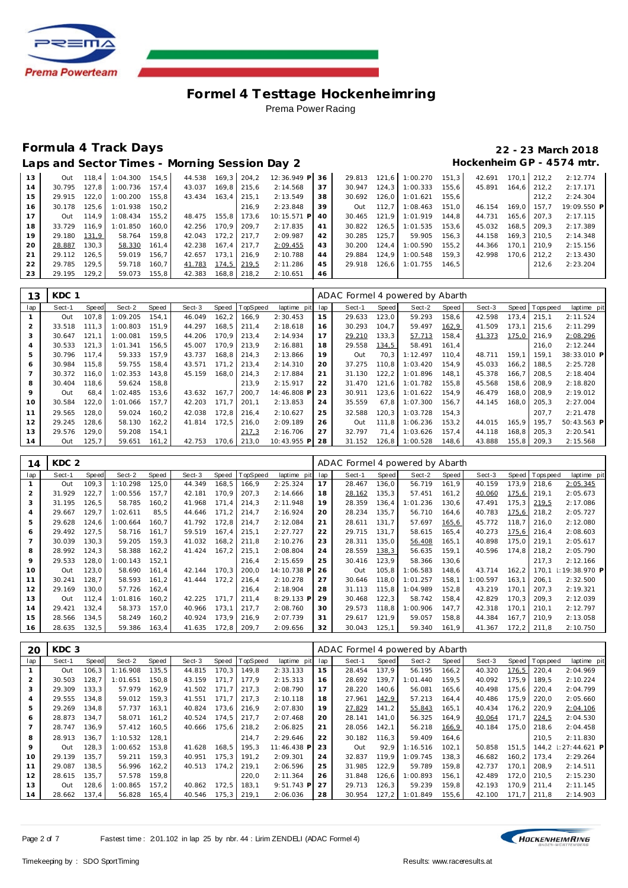

# **Formula 4 Track Days 22 - 23 March 2018**

Laps and Sector Times - Morning Session Day 2 **Hockenheim GP** - 4574 mtr.

| 13 | Out    |       | 118.4 1:04.300 154.5 |       | 44.538 |               | 169,3 204,2   | 12:36.949 P 36 |    |        |       | 29.813 121.6 1:00.270 151.3 |       | 42.691 |       | 170.1 212.2 | 2:12.774    |
|----|--------|-------|----------------------|-------|--------|---------------|---------------|----------------|----|--------|-------|-----------------------------|-------|--------|-------|-------------|-------------|
| 14 | 30.795 | 127.8 | $1:00.736$ 157.4     |       | 43.037 |               | 169.8 215.6   | 2:14.568       | 37 | 30.947 | 124.3 | 1:00.333                    | 155.6 | 45.891 | 164.6 | 212.2       | 2:17.171    |
| 15 | 29.915 | 122.0 | 1:00.200             | 155.8 | 43.434 | $163,4$ 215,1 |               | 2:13.549       | 38 | 30.692 |       | 126,0 1:01.621 155,6        |       |        |       | 212.2       | 2:24.304    |
| 16 | 30.178 | 125.6 | 1:01.938 150.2       |       |        |               | 216.9         | 2:23.848       | 39 | Out    | 112.7 | 1:08.463                    | 151.0 | 46.154 | 169.0 | 157.7       | 19:09.550 P |
| 17 | Out    | 114.9 | $1:08.434$ 155.2     |       | 48.475 | 155.8 173.6   |               | 10:15.571 P    | 40 | 30.465 |       | 121.9 1:01.919              | 144.8 | 44.731 | 165.6 | 207.3       | 2:17.115    |
| 18 | 33.729 | 116.9 | 1:01.850             | 160.0 | 42.256 | 170.9 209.7   |               | 2:17.835       | 41 |        |       | 30.822 126.5 1:01.535 153.6 |       | 45.032 | 168.5 | 209.3       | 2:17.389    |
| 19 | 29.180 | 131.9 | 58.764               | 159.8 | 42.043 |               | $172.2$ 217.7 | 2:09.987       | 42 | 30.285 | 125.7 | 59.905                      | 156.3 | 44.158 | 169.3 | 210.5       | 2:14.348    |
| 20 | 28.887 | 130.3 | 58.330               | 161.4 | 42.238 | $167.4$ 217.7 |               | 2:09.455       | 43 | 30.200 | 124.4 | 1:00.590                    | 155.2 | 44.366 | 170.1 | 210.9       | 2:15.156    |
| 21 | 29.112 | 126.5 | 59.019               | 156.7 | 42.657 | 173.1         | 216.9         | 2:10.788       | 44 | 29.884 |       | $124.9$ 1:00.548            | 159.3 | 42.998 | 170.6 | 212.2       | 2:13.430    |
| 22 | 29.785 | 129.5 | 59.718               | 160.7 | 41.783 | 174,5 219,5   |               | 2:11.286       | 45 | 29.918 |       | 126.6 1:01.755 146.5        |       |        |       | 212.6       | 2:23.204    |
| 23 | 29.195 | 129.2 | 59.073 155,8         |       | 42.383 |               | 168,8 218,2   | 2:10.651       | 46 |        |       |                             |       |        |       |             |             |

| 13             | KDC 1  |       |          |       |        |       |                |             |     | ADAC Formel 4 powered by Abarth |       |          |       |        |       |                 |             |
|----------------|--------|-------|----------|-------|--------|-------|----------------|-------------|-----|---------------------------------|-------|----------|-------|--------|-------|-----------------|-------------|
| lap            | Sect-1 | Speed | Sect-2   | Speed | Sect-3 |       | Speed TopSpeed | laptime pit | lap | Sect-1                          | Speed | Sect-2   | Speed | Sect-3 |       | Speed Tops peed | laptime pit |
|                | Out    | 107.8 | 1:09.205 | 154.1 | 46.049 | 162,2 | 166.9          | 2:30.453    | 15  | 29.633                          | 123,0 | 59.293   | 158,6 | 42.598 | 173.4 | 215.1           | 2:11.524    |
| $\overline{2}$ | 33.518 | 111.3 | 1:00.803 | 151.9 | 44.297 | 168.5 | 211.4          | 2:18.618    | 16  | 30.293                          | 104.7 | 59.497   | 162,9 | 41.509 | 173.1 | 215.6           | 2:11.299    |
| 3              | 30.647 | 121.1 | 1:00.081 | 159.5 | 44.206 | 170.9 | 213.4          | 2:14.934    | 17  | 29.210                          | 133.3 | 57.713   | 158,4 | 41.373 | 175,0 | 216.9           | 2:08.296    |
| 4              | 30.533 | 121.3 | 1:01.341 | 156,5 | 45.007 | 170.9 | 213.9          | 2:16.881    | 18  | 29.558                          | 134,5 | 58.491   | 161,4 |        |       | 216,0           | 2:12.244    |
| 5              | 30.796 | 117.4 | 59.333   | 157.9 | 43.737 | 168,8 | 214,3          | 2:13.866    | 19  | Out                             | 70,3  | 1:12.497 | 110.4 | 48.711 | 159.1 | 159.1           | 38:33.010 P |
| 6              | 30.984 | 115.8 | 59.755   | 158.4 | 43.571 | 171,2 | 213.4          | 2:14.310    | 20  | 37.275                          | 110.8 | 1:03.420 | 154.9 | 45.033 | 166,2 | 188.5           | 2:25.728    |
|                | 30.372 | 116.0 | 1:02.353 | 143.8 | 45.159 | 168.0 | 214.3          | 2:17.884    | 21  | 31.130                          | 122,2 | 1:01.896 | 148.1 | 45.378 | 166.7 | 208.5           | 2:18.404    |
| 8              | 30.404 | 118.6 | 59.624   | 158,8 |        |       | 213.9          | 2:15.917    | 22  | 31.470                          | 121.6 | 1:01.782 | 155,8 | 45.568 | 158,6 | 208.9           | 2:18.820    |
| 9              | Out    | 68.4  | 1:02.485 | 153,6 | 43.632 | 167.7 | 200.7          | 14:46.808 P | 23  | 30.911                          | 123,6 | 1:01.622 | 154.9 | 46.479 | 168,0 | 208.9           | 2:19.012    |
| 10             | 30.584 | 122,0 | 1:01.066 | 157.7 | 42.203 | 171.7 | 201.1          | 2:13.853    | 24  | 35.559                          | 67.8  | 1:07.300 | 156.7 | 44.145 | 168.0 | 205.3           | 2:27.004    |
| 11             | 29.565 | 128.0 | 59.024   | 160.2 | 42.038 | 172.8 | 216.4          | 2:10.627    | 25  | 32.588                          | 120.3 | 1:03.728 | 154,3 |        |       | 207.7           | 2:21.478    |
| 12             | 29.245 | 128.6 | 58.130   | 162,2 | 41.814 | 172.5 | 216,0          | 2:09.189    | 26  | Out                             | 111.8 | 1:06.236 | 153,2 | 44.015 | 165.9 | 195.7           | 50:43.563 P |
| 13             | 29.576 | 129.0 | 59.208   | 154,1 |        |       | 217,3          | 2:16.706    | 27  | 32.797                          | 71.4  | 1:03.626 | 157,4 | 44.118 | 168.8 | 205.3           | 2:20.541    |
| 14             | Out    | 125.7 | 59.651   | 161,2 | 42.753 | 170,6 | 213.0          | 10:43.955 P | 28  | 31.152                          | 126,8 | 1:00.528 | 148,6 | 43.888 | 155.8 | 209,3           | 2:15.568    |

| 14             | KDC <sub>2</sub> |       |          |       |        |       |                 |             |     | ADAC Formel 4 powered by Abarth |       |          |       |          |       |          |             |
|----------------|------------------|-------|----------|-------|--------|-------|-----------------|-------------|-----|---------------------------------|-------|----------|-------|----------|-------|----------|-------------|
| lap            | Sect-1           | Speed | Sect-2   | Speed | Sect-3 | Speed | <b>TopSpeed</b> | laptime pit | lap | Sect-1                          | Speed | Sect-2   | Speed | Sect-3   | Speed | Topspeed | laptime pit |
|                | Out              | 109.3 | 1:10.298 | 125.0 | 44.349 | 168,5 | 166.9           | 2:25.324    | 17  | 28.467                          | 136.0 | 56.719   | 161.9 | 40.159   | 173.9 | 218.6    | 2:05.345    |
| 2              | 31.929           | 122,7 | 1:00.556 | 157,7 | 42.181 | 170,9 | 207,3           | 2:14.666    | 18  | 28.162                          | 135,3 | 57.451   | 161,2 | 40.060   | 175,6 | 219.1    | 2:05.673    |
| 3              | 31.195           | 126,5 | 58.785   | 160,2 | 41.968 | 171,4 | 214,3           | 2:11.948    | 19  | 28.359                          | 136,4 | 1:01.236 | 130,6 | 47.491   | 175,3 | 219,5    | 2:17.086    |
| $\overline{4}$ | 29.667           | 129,7 | 1:02.611 | 85,5  | 44.646 | 171,2 | 214,7           | 2:16.924    | 20  | 28.234                          | 135.7 | 56.710   | 164,6 | 40.783   | 175,6 | 218.2    | 2:05.727    |
| 5              | 29.628           | 124.6 | 1:00.664 | 160.7 | 41.792 | 172.8 | 214,7           | 2:12.084    | 21  | 28.611                          | 131.7 | 57.697   | 165,6 | 45.772   | 118.7 | 216.0    | 2:12.080    |
| 6              | 29.492           | 127,5 | 58.716   | 161,7 | 59.519 | 167,4 | 215,1           | 2:27.727    | 22  | 29.715                          | 131,7 | 58.615   | 165,4 | 40.273   | 175,6 | 216.4    | 2:08.603    |
|                | 30.039           | 130.3 | 59.205   | 159,3 | 41.032 | 168,2 | 211,8           | 2:10.276    | 23  | 28.311                          | 135,0 | 56.408   | 165,1 | 40.898   | 175.0 | 219.1    | 2:05.617    |
| 8              | 28.992           | 124,3 | 58.388   | 162,2 | 41.424 | 167,2 | 215,1           | 2:08.804    | 24  | 28.559                          | 138,3 | 56.635   | 159,1 | 40.596   | 174,8 | 218.2    | 2:05.790    |
| 9              | 29.533           | 128,0 | 1:00.143 | 152,1 |        |       | 216,4           | 2:15.659    | 25  | 30.416                          | 123.9 | 58.366   | 130,6 |          |       | 217.3    | 2:12.166    |
| 10             | Out              | 123,0 | 58.690   | 161,4 | 42.144 | 170,3 | 200,0           | 14:10.738 P | 26  | Out                             | 105,8 | 1:06.583 | 148,6 | 43.714   | 162,2 | 170.1    | 19:38.970 P |
| 11             | 30.241           | 128,7 | 58.593   | 161,2 | 41.444 | 172,2 | 216,4           | 2:10.278    | 27  | 30.646                          | 118,0 | 1:01.257 | 158,1 | 1:00.597 | 163,1 | 206.1    | 2:32.500    |
| 12             | 29.169           | 130.0 | 57.726   | 162,4 |        |       | 216,4           | 2:18.904    | 28  | 31.113                          | 115.8 | 1:04.989 | 152,8 | 43.219   | 170.1 | 207.3    | 2:19.321    |
| 13             | Out              | 112,4 | 1:01.816 | 160,2 | 42.225 | 171.7 | 211,4           | 8:29.133 P  | 29  | 30.468                          | 122,3 | 58.742   | 158,4 | 42.829   | 170,3 | 209.3    | 2:12.039    |
| 14             | 29.421           | 132,4 | 58.373   | 157,0 | 40.966 | 173,1 | 217,7           | 2:08.760    | 30  | 29.573                          | 118.8 | 1:00.906 | 147,7 | 42.318   | 170.1 | 210.1    | 2:12.797    |
| 15             | 28.566           | 134,5 | 58.249   | 160,2 | 40.924 | 173,9 | 216,9           | 2:07.739    | 31  | 29.617                          | 121,9 | 59.057   | 158,8 | 44.384   | 167,7 | 210.9    | 2:13.058    |
| 16             | 28.635           | 132,5 | 59.386   | 163,4 | 41.635 | 172,8 | 209,7           | 2:09.656    | 32  | 30.043                          | 125,1 | 59.340   | 161,9 | 41.367   | 172,2 | 211,8    | 2:10.750    |

| 20  | KDC <sub>3</sub> |       |          |       |        |       |                 |             |     | ADAC Formel 4 powered by Abarth |       |          |       |        |        |                 |                   |
|-----|------------------|-------|----------|-------|--------|-------|-----------------|-------------|-----|---------------------------------|-------|----------|-------|--------|--------|-----------------|-------------------|
| lap | Sect-1           | Speed | Sect-2   | Speed | Sect-3 | Speed | <b>TopSpeed</b> | laptime pit | lap | Sect-1                          | Speed | Sect-2   | Speed | Sect-3 | Speed  | <b>Topspeed</b> | laptime pit       |
|     | Out              | 106.3 | 1:16.908 | 135,5 | 44.815 | 170,3 | 149,8           | 2:33.133    | 15  | 28.454                          | 137.9 | 56.195   | 166,2 | 40.320 | 176,5  | 220,4           | 2:04.969          |
| 2   | 30.503           | 128,7 | 1:01.651 | 150,8 | 43.159 | 171.7 | 177,9           | 2:15.313    | 16  | 28.692                          | 139.7 | 1:01.440 | 159,5 | 40.092 | 175.9  | 189.5           | 2:10.224          |
| 3   | 29.309           | 133.3 | 57.979   | 162.9 | 41.502 | 171.7 | 217,3           | 2:08.790    | 17  | 28.220                          | 140.6 | 56.081   | 165,6 | 40.498 | 175.6  | 220.4           | 2:04.799          |
| 4   | 29.555           | 134,8 | 59.012   | 159,3 | 41.551 | 171.7 | 217,3           | 2:10.118    | 18  | 27.961                          | 142,9 | 57.213   | 164,4 | 40.486 | 175,9  | 220,0           | 2:05.660          |
| 5   | 29.269           | 134,8 | 57.737   | 163,1 | 40.824 | 173,6 | 216,9           | 2:07.830    | 19  | 27.829                          | 141,2 | 55.843   | 165,1 | 40.434 | 176,2  | 220,9           | 2:04.106          |
| 6   | 28.873           | 134.7 | 58.071   | 161,2 | 40.524 | 174.5 | 217.7           | 2:07.468    | 20  | 28.141                          | 141,0 | 56.325   | 164,9 | 40.064 | 171.7  | 224,5           | 2:04.530          |
|     | 28.747           | 136,9 | 57.412   | 160,5 | 40.666 | 175,6 | 218,2           | 2:06.825    | 21  | 28.056                          | 142,1 | 56.218   | 166,9 | 40.184 | 175.0  | 218,6           | 2:04.458          |
| 8   | 28.913           | 136.7 | 1:10.532 | 128.1 |        |       | 214.7           | 2:29.646    | 22  | 30.182                          | 116.3 | 59.409   | 164.6 |        |        | 210.5           | 2:11.830          |
| 9   | Out              | 128,3 | 1:00.652 | 153,8 | 41.628 | 168,5 | 195,3           | 11:46.438 P | 23  | Out                             | 92,9  | 1:16.516 | 102,1 | 50.858 | 151,5  | 144.2           | $\pm 27:44.621$ P |
| 10  | 29.139           | 135.7 | 59.211   | 159,3 | 40.951 | 175,3 | 191,2           | 2:09.301    | 24  | 32.837                          | 119.9 | 1:09.745 | 138,3 | 46.682 | 160, 2 | 173.4           | 2:29.264          |
| 11  | 29.087           | 138,5 | 56.996   | 162,2 | 40.513 | 174.2 | 219,1           | 2:06.596    | 25  | 31.985                          | 122,9 | 59.789   | 159,8 | 42.737 | 170.1  | 208,9           | 2:14.511          |
| 12  | 28.615           | 135.7 | 57.578   | 159.8 |        |       | 220.0           | 2:11.364    | 26  | 31.848                          | 126,6 | 1:00.893 | 156.1 | 42.489 | 172.0  | 210.5           | 2:15.230          |
| 13  | Out              | 128,6 | 1:00.865 | 157,2 | 40.862 | 172,5 | 183,1           | 9:51.743 P  | 27  | 29.713                          | 126,3 | 59.239   | 159.8 | 42.193 | 170.9  | 211.4           | 2:11.145          |
| 14  | 28.662           | 137.4 | 56.828   | 165,4 | 40.546 | 175,3 | 219,1           | 2:06.036    | 28  | 30.954                          | 127,2 | 1:01.849 | 155,6 | 42.100 | 171.7  | 211,8           | 2:14.903          |

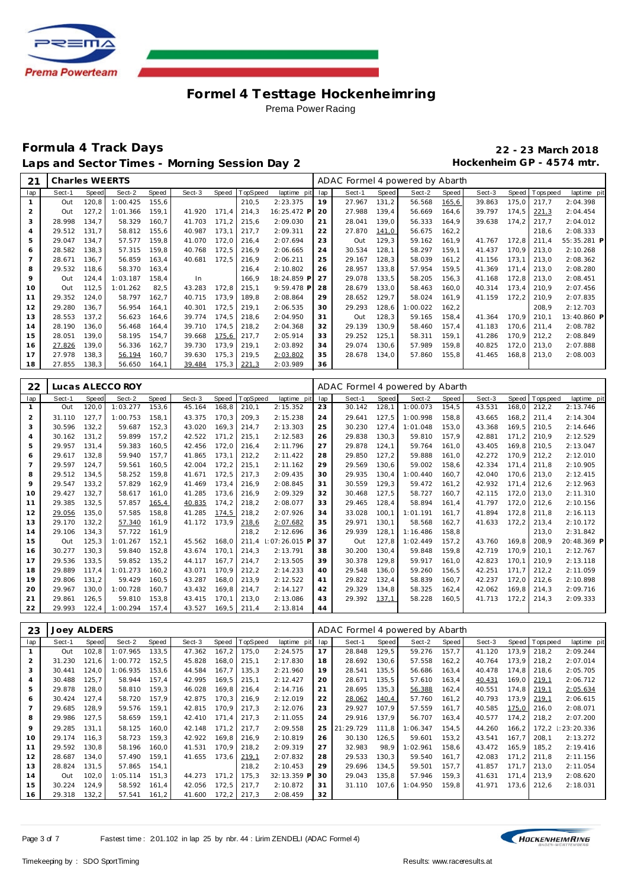

## **Formula 4 Track Days 22 - 23 March 2018** Laps and Sector Times - Morning Session Day 2 **Hockenheim GP** - 4574 mtr.

| 21             | Charles WEERTS |       |          |              |        |       |          |             |     | ADAC Formel 4 powered by Abarth |       |          |       |        |              |             |             |
|----------------|----------------|-------|----------|--------------|--------|-------|----------|-------------|-----|---------------------------------|-------|----------|-------|--------|--------------|-------------|-------------|
| lap            | Sect-1         | Speed | Sect-2   | <b>Speed</b> | Sect-3 | Speed | TopSpeed | laptime pit | lap | Sect-1                          | Speed | Sect-2   | Speed | Sect-3 | <b>Speed</b> | T ops pee d | laptime pit |
|                | Out            | 120.8 | 1:00.425 | 155.6        |        |       | 210,5    | 2:23.375    | 19  | 27.967                          | 131,2 | 56.568   | 165,6 | 39.863 | 175.0        | 217.7       | 2:04.398    |
| $\overline{2}$ | Out            | 127,2 | 1:01.366 | 159,1        | 41.920 | 171.4 | 214,3    | 16:25.472 P | 20  | 27.988                          | 139,4 | 56.669   | 164,6 | 39.797 | 174,5        | 221,3       | 2:04.454    |
| 3              | 28.998         | 134.7 | 58.329   | 160.7        | 41.703 | 171.2 | 215,6    | 2:09.030    | 21  | 28.041                          | 139,0 | 56.333   | 164,9 | 39.638 | 174.2        | 217.7       | 2:04.012    |
| $\overline{4}$ | 29.512         | 131,7 | 58.812   | 155,6        | 40.987 | 173,1 | 217,7    | 2:09.311    | 22  | 27.870                          | 141,0 | 56.675   | 162,2 |        |              | 218,6       | 2:08.333    |
| 5              | 29.047         | 134,7 | 57.577   | 159,8        | 41.070 | 172,0 | 216,4    | 2:07.694    | 23  | Out                             | 129,3 | 59.162   | 161,9 | 41.767 | 172,8        | 211,4       | 55:35.281 P |
| 6              | 28.582         | 138.3 | 57.315   | 159.8        | 40.768 | 172,5 | 216,9    | 2:06.665    | 24  | 30.534                          | 128.1 | 58.297   | 159,1 | 41.437 | 170.9        | 213.0       | 2:10.268    |
|                | 28.671         | 136,7 | 56.859   | 163,4        | 40.681 | 172.5 | 216,9    | 2:06.211    | 25  | 29.167                          | 128,3 | 58.039   | 161,2 | 41.156 | 173.1        | 213.0       | 2:08.362    |
| 8              | 29.532         | 118,6 | 58.370   | 163,4        |        |       | 216,4    | 2:10.802    | 26  | 28.957                          | 133,8 | 57.954   | 159,5 | 41.369 | 171.4        | 213,0       | 2:08.280    |
| 9              | Out            | 124,4 | 1:03.187 | 158,4        | In.    |       | 166,9    | 18:24.859 P | 27  | 29.078                          | 133,5 | 58.205   | 156,3 | 41.168 | 172,8        | 213,0       | 2:08.451    |
| 10             | Out            | 112,5 | 1:01.262 | 82,5         | 43.283 | 172,8 | 215,1    | 9:59.478 P  | 28  | 28.679                          | 133,0 | 58.463   | 160,0 | 40.314 | 173,4        | 210.9       | 2:07.456    |
| 11             | 29.352         | 124,0 | 58.797   | 162,7        | 40.715 | 173,9 | 189,8    | 2:08.864    | 29  | 28.652                          | 129,7 | 58.024   | 161.9 | 41.159 | 172,2        | 210.9       | 2:07.835    |
| 12             | 29.280         | 136.7 | 56.954   | 164.1        | 40.301 | 172.5 | 219.1    | 2:06.535    | 30  | 29.293                          | 128.6 | 1:00.022 | 162,2 |        |              | 208.9       | 2:12.703    |
| 13             | 28.553         | 137,2 | 56.623   | 164,6        | 39.774 | 174.5 | 218,6    | 2:04.950    | 31  | Out                             | 128,3 | 59.165   | 158,4 | 41.364 | 170.9        | 210.1       | 13:40.860 P |
| 14             | 28.190         | 136,0 | 56.468   | 164,4        | 39.710 | 174,5 | 218,2    | 2:04.368    | 32  | 29.139                          | 130,9 | 58.460   | 157,4 | 41.183 | 170,6        | 211.4       | 2:08.782    |
| 15             | 28.051         | 139.0 | 58.195   | 154,7        | 39.668 | 175,6 | 217,7    | 2:05.914    | 33  | 29.252                          | 125,1 | 58.311   | 159,1 | 41.286 | 170,9        | 212.2       | 2:08.849    |
| 16             | 27.826         | 139,0 | 56.336   | 162,7        | 39.730 | 173,9 | 219,1    | 2:03.892    | 34  | 29.074                          | 130,6 | 57.989   | 159,8 | 40.825 | 172,0        | 213,0       | 2:07.888    |
| 17             | 27.978         | 138,3 | 56.194   | 160,7        | 39.630 | 175,3 | 219,5    | 2:03.802    | 35  | 28.678                          | 134,0 | 57.860   | 155,8 | 41.465 | 168, 8       | 213,0       | 2:08.003    |
| 18             | 27.855         | 138,3 | 56.650   | 164.1        | 39.484 | 175,3 | 221,3    | 2:03.989    | 36  |                                 |       |          |       |        |              |             |             |

| 22  |        |              | Lucas ALECCO ROY |       |        |       |          |             |     | ADAC Formel 4 powered by Abarth |       |          |       |        |       |          |             |
|-----|--------|--------------|------------------|-------|--------|-------|----------|-------------|-----|---------------------------------|-------|----------|-------|--------|-------|----------|-------------|
| lap | Sect-1 | <b>Speed</b> | Sect-2           | Speed | Sect-3 | Speed | TopSpeed | laptime pit | lap | Sect-1                          | Speed | Sect-2   | Speed | Sect-3 | Speed | Topspeed | laptime pit |
|     | Out    | 120.0        | 1:03.277         | 153,6 | 45.164 | 168,8 | 210,1    | 2:15.352    | 23  | 30.142                          | 128,1 | 1:00.073 | 154,5 | 43.531 | 168,0 | 212,2    | 2:13.746    |
| 2   | 31.110 | 127.7        | 1:00.753         | 158.1 | 43.375 | 170,3 | 209.3    | 2:15.238    | 24  | 29.641                          | 127,5 | 1:00.998 | 158,8 | 43.665 | 168,2 | 211.4    | 2:14.304    |
| 3   | 30.596 | 132,2        | 59.687           | 152.3 | 43.020 | 169.3 | 214.7    | 2:13.303    | 25  | 30.230                          | 127.4 | 1:01.048 | 153,0 | 43.368 | 169.5 | 210.5    | 2:14.646    |
| 4   | 30.162 | 131.2        | 59.899           | 157.2 | 42.522 | 171.2 | 215,1    | 2:12.583    | 26  | 29.838                          | 130,3 | 59.810   | 157,9 | 42.881 | 171.2 | 210.9    | 2:12.529    |
| 5   | 29.957 | 131.4        | 59.383           | 160.5 | 42.456 | 172.0 | 216.4    | 2:11.796    | 27  | 29.878                          | 124.1 | 59.764   | 161.0 | 43.405 | 169.8 | 210.5    | 2:13.047    |
| 6   | 29.617 | 132.8        | 59.940           | 157.7 | 41.865 | 173.1 | 212,2    | 2:11.422    | 28  | 29.850                          | 127,2 | 59.888   | 161,0 | 42.272 | 170.9 | 212,2    | 2:12.010    |
|     | 29.597 | 124.7        | 59.561           | 160.5 | 42.004 | 172,2 | 215,1    | 2:11.162    | 29  | 29.569                          | 130,6 | 59.002   | 158,6 | 42.334 | 171.4 | 211.8    | 2:10.905    |
| 8   | 29.512 | 134.5        | 58.252           | 159.8 | 41.671 | 172,5 | 217,3    | 2:09.435    | 30  | 29.935                          | 130.4 | 1:00.440 | 160,7 | 42.040 | 170.6 | 213,0    | 2:12.415    |
| 9   | 29.547 | 133,2        | 57.829           | 162,9 | 41.469 | 173,4 | 216,9    | 2:08.845    | 31  | 30.559                          | 129,3 | 59.472   | 161,2 | 42.932 | 171,4 | 212,6    | 2:12.963    |
| 10  | 29.427 | 132,7        | 58.617           | 161.0 | 41.285 | 173.6 | 216,9    | 2:09.329    | 32  | 30.468                          | 127.5 | 58.727   | 160.7 | 42.115 | 172.0 | 213.0    | 2:11.310    |
| 11  | 29.385 | 132,5        | 57.857           | 165,4 | 40.835 | 174,2 | 218,2    | 2:08.077    | 33  | 29.465                          | 128,4 | 58.894   | 161.4 | 41.797 | 172,0 | 212,6    | 2:10.156    |
| 12  | 29.056 | 135.0        | 57.585           | 158.8 | 41.285 | 174.5 | 218,2    | 2:07.926    | 34  | 33.028                          | 100.1 | 1:01.191 | 161.7 | 41.894 | 172.8 | 211.8    | 2:16.113    |
| 13  | 29.170 | 132,2        | 57.340           | 161,9 | 41.172 | 173.9 | 218,6    | 2:07.682    | 35  | 29.971                          | 130.1 | 58.568   | 162,7 | 41.633 | 172,2 | 213,4    | 2:10.172    |
| 14  | 29.106 | 134,3        | 57.722           | 161,9 |        |       | 218,2    | 2:12.696    | 36  | 29.939                          | 128.1 | 1:16.486 | 158,8 |        |       | 213,0    | 2:31.842    |
| 15  | Out    | 125,3        | 1:01.267         | 152,1 | 45.562 | 168,0 | 211,4    | 07:26.015 F | 37  | Out                             | 127,8 | 1:02.449 | 157,2 | 43.760 | 169,8 | 208,9    | 20:48.369 P |
| 16  | 30.277 | 130.3        | 59.840           | 152.8 | 43.674 | 170.1 | 214.3    | 2:13.791    | 38  | 30.200                          | 130.4 | 59.848   | 159.8 | 42.719 | 170.9 | 210.1    | 2:12.767    |
| 17  | 29.536 | 133.5        | 59.852           | 135.2 | 44.117 | 167.7 | 214.7    | 2:13.505    | 39  | 30.378                          | 129.8 | 59.917   | 161.0 | 42.823 | 170.1 | 210.9    | 2:13.118    |
| 18  | 29.889 | 117.4        | 1:01.273         | 160,2 | 43.071 | 170.9 | 212,2    | 2:14.233    | 40  | 29.548                          | 136.0 | 59.260   | 156,5 | 42.251 | 171.7 | 212,2    | 2:11.059    |
| 19  | 29.806 | 131.2        | 59.429           | 160.5 | 43.287 | 168.0 | 213,9    | 2:12.522    | 41  | 29.822                          | 132,4 | 58.839   | 160,7 | 42.237 | 172,0 | 212,6    | 2:10.898    |
| 20  | 29.967 | 130.0        | 1:00.728         | 160.7 | 43.432 | 169,8 | 214,7    | 2:14.127    | 42  | 29.329                          | 134,8 | 58.325   | 162,4 | 42.062 | 169,8 | 214,3    | 2:09.716    |
| 21  | 29.861 | 126.5        | 59.810           | 153,8 | 43.415 | 170.1 | 213,0    | 2:13.086    | 43  | 29.392                          | 137,1 | 58.228   | 160,5 | 41.713 | 172,2 | 214,3    | 2:09.333    |
| 22  | 29.993 | 122,4        | 1:00.294         | 157.4 | 43.527 | 169,5 | 211,4    | 2:13.814    | 44  |                                 |       |          |       |        |       |          |             |

| 23             | <b>Joey ALDERS</b> |              |          |       |        |       |          |             |     | ADAC Formel 4 powered by Abarth |       |          |        |        |       |           |              |
|----------------|--------------------|--------------|----------|-------|--------|-------|----------|-------------|-----|---------------------------------|-------|----------|--------|--------|-------|-----------|--------------|
| lap            | Sect-1             | <b>Speed</b> | Sect-2   | Speed | Sect-3 | Speed | TopSpeed | laptime pit | lap | Sect-1                          | Speed | Sect-2   | Speed  | Sect-3 | Speed | Tops peed | laptime pit  |
|                | Out                | 102.8        | 1:07.965 | 133.5 | 47.362 | 167,2 | 175.0    | 2:24.575    | 17  | 28.848                          | 129,5 | 59.276   | 157.7  | 41.120 | 173.9 | 218.2     | 2:09.244     |
| $\overline{a}$ | 31.230             | 121.6        | 1:00.772 | 152,5 | 45.828 | 168,0 | 215,1    | 2:17.830    | 18  | 28.692                          | 130,6 | 57.558   | 162, 2 | 40.764 | 173.9 | 218.2     | 2:07.014     |
| 3              | 30.441             | 124,0        | 1:06.935 | 153,6 | 44.584 | 167,7 | 135,3    | 2:21.960    | 19  | 28.541                          | 135,5 | 56.686   | 163,4  | 40.478 | 174.8 | 218.6     | 2:05.705     |
| 4              | 30.488             | 125,7        | 58.944   | 157,4 | 42.995 | 169,5 | 215,1    | 2:12.427    | 20  | 28.671                          | 135,5 | 57.610   | 163,4  | 40.431 | 169,0 | 219,1     | 2:06.712     |
| 5              | 29.878             | 128.0        | 58.810   | 159.3 | 46.028 | 169.8 | 216.4    | 2:14.716    | 21  | 28.695                          | 135,3 | 56.388   | 162,4  | 40.551 | 174.8 | 219,1     | 2:05.634     |
| 6              | 30.424             | 127,4        | 58.720   | 157,9 | 42.875 | 170,3 | 216.9    | 2:12.019    | 22  | 28.062                          | 140,4 | 57.760   | 161,2  | 40.793 | 173,9 | 219,1     | 2:06.615     |
| 7              | 29.685             | 128.9        | 59.576   | 159,1 | 42.815 | 170,9 | 217.3    | 2:12.076    | 23  | 29.927                          | 107.9 | 57.559   | 161.7  | 40.585 | 175,0 | 216.0     | 2:08.071     |
| 8              | 29.986             | 127,5        | 58.659   | 159,1 | 42.410 | 171,4 | 217,3    | 2:11.055    | 24  | 29.916                          | 137.9 | 56.707   | 163,4  | 40.577 | 174,2 | 218.2     | 2:07.200     |
| 9              | 29.285             | 131,1        | 58.125   | 160.0 | 42.148 | 171,2 | 217,7    | 2:09.558    | 25  | 21:29.729                       | 111.8 | 1:06.347 | 154,5  | 44.260 | 166,2 | 172,2     | : 23: 20.336 |
| 10             | 29.174             | 116.3        | 58.723   | 159,3 | 42.922 | 169,8 | 216.9    | 2:10.819    | 26  | 30.130                          | 126,5 | 59.601   | 153,2  | 43.541 | 167.7 | 208.1     | 2:13.272     |
| 11             | 29.592             | 130.8        | 58.196   | 160.0 | 41.531 | 170.9 | 218,2    | 2:09.319    | 27  | 32.983                          | 98.9  | 1:02.961 | 158,6  | 43.472 | 165.9 | 185.2     | 2:19.416     |
| 12             | 28.687             | 134.0        | 57.490   | 159,1 | 41.655 | 173.6 | 219,1    | 2:07.832    | 28  | 29.533                          | 130.3 | 59.540   | 161,7  | 42.083 | 171.2 | 211.8     | 2:11.156     |
| 13             | 28.824             | 131,5        | 57.865   | 154,1 |        |       | 218,2    | 2:10.453    | 29  | 29.696                          | 134,5 | 59.501   | 157,7  | 41.857 | 171.7 | 213.0     | 2:11.054     |
| 14             | Out                | 102,0        | 1:05.114 | 151,3 | 44.273 | 171.2 | 175,3    | 32:13.359 P | 30  | 29.043                          | 135,8 | 57.946   | 159,3  | 41.631 | 171.4 | 213.9     | 2:08.620     |
| 15             | 30.224             | 124,9        | 58.592   | 161,4 | 42.056 | 172,5 | 217,7    | 2:10.872    | 31  | 31.110                          | 107,6 | 1:04.950 | 159,8  | 41.971 | 173,6 | 212,6     | 2:18.031     |
| 16             | 29.318             | 132,2        | 57.541   | 161,2 | 41.600 | 172,2 | 217,3    | 2:08.459    | 32  |                                 |       |          |        |        |       |           |              |

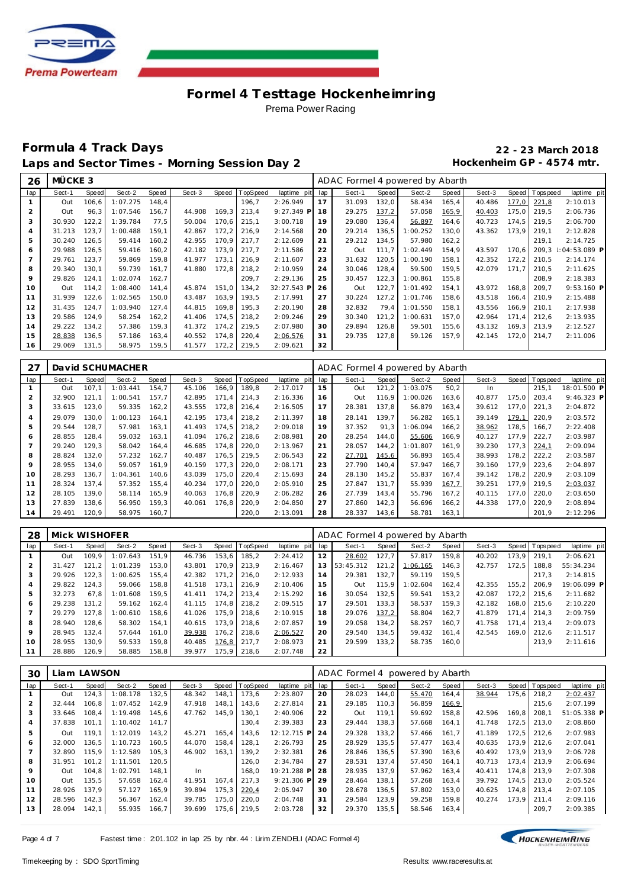

## **Formula 4 Track Days 22 - 23 March 2018** Laps and Sector Times - Morning Session Day 2 **Hockenheim GP** - 4574 mtr.

| 26             | MÜCKE 3 |        |          |        |        |       |                 |                 |    | ADAC Formel 4 powered by Abarth |       |          |        |        |        |                |                 |
|----------------|---------|--------|----------|--------|--------|-------|-----------------|-----------------|----|---------------------------------|-------|----------|--------|--------|--------|----------------|-----------------|
| lap            | Sect-1  | Speed  | Sect-2   | Speed  | Sect-3 | Speed | <b>TopSpeed</b> | laptime pit lap |    | Sect-1                          | Speed | Sect-2   | Speed  | Sect-3 |        | Speed Topspeed | laptime pit     |
|                | Out     | 106, 6 | 1:07.275 | 148.4  |        |       | 196,7           | 2:26.949        | 17 | 31.093                          | 132,0 | 58.434   | 165,4  | 40.486 | 177,0  | 221,8          | 2:10.013        |
| 2              | Out     | 96.3   | 1:07.546 | 156.7  | 44.908 | 169,3 | 213,4           | $9:27.349$ P    | 18 | 29.275                          | 137,2 | 57.058   | 165,9  | 40.403 | 175.0  | 219.5          | 2:06.736        |
| 3              | 30.930  | 122, 2 | 1:39.784 | 77,5   | 50.004 | 170,6 | 215,1           | 3:00.718        | 19 | 29.080                          | 136,4 | 56.897   | 164,6  | 40.723 | 174,5  | 219.5          | 2:06.700        |
| $\overline{4}$ | 31.213  | 123,7  | 1:00.488 | 159,1  | 42.867 | 172,2 | 216,9           | 2:14.568        | 20 | 29.214                          | 136,5 | 1:00.252 | 130,0  | 43.362 | 173,9  | 219,1          | 2:12.828        |
| 5              | 30.240  | 126.5  | 59.414   | 160,2  | 42.955 | 170.9 | 217.7           | 2:12.609        | 21 | 29.212                          | 134.5 | 57.980   | 162, 2 |        |        | 219.1          | 2:14.725        |
| 6              | 29.988  | 126, 5 | 59.416   | 160,2  | 42.182 | 173,9 | 217.7           | 2:11.586        | 22 | Out                             | 111.7 | 1:02.449 | 154.9  | 43.597 | 170.6  | 209.3          | $1:04:53.089$ P |
|                | 29.761  | 123,7  | 59.869   | 159,8  | 41.977 | 173,1 | 216,9           | 2:11.607        | 23 | 31.632                          | 120,5 | 1:00.190 | 158,1  | 42.352 | 172,2  | 210,5          | 2:14.174        |
| 8              | 29.340  | 130,1  | 59.739   | 161,7  | 41.880 | 172,8 | 218,2           | 2:10.959        | 24 | 30.046                          | 128,4 | 59.500   | 159,5  | 42.079 | 171.7  | 210,5          | 2:11.625        |
| 9              | 29.826  | 124.1  | 1:02.074 | 162.7  |        |       | 209,7           | 2:29.136        | 25 | 30.457                          | 122,3 | 1:00.861 | 155,8  |        |        | 208.9          | 2:18.383        |
| 10             | Out     | 114.2  | 1:08.400 | 141,4  | 45.874 | 151,0 | 134,2           | 32:27.543 P     | 26 | Out                             | 122,7 | 1:01.492 | 154,1  | 43.972 | 168, 8 | 209.7          | 9:53.160 P      |
| 11             | 31.939  | 122,6  | 1:02.565 | 150,0  | 43.487 | 163,9 | 193,5           | 2:17.991        | 27 | 30.224                          | 127,2 | 1:01.746 | 158,6  | 43.518 | 166, 4 | 210,9          | 2:15.488        |
| 12             | 31.435  | 124,7  | 1:03.940 | 127.4  | 44.815 | 169,8 | 195.3           | 2:20.190        | 28 | 32.832                          | 79.4  | 1:01.550 | 158,1  | 43.556 | 166.9  | 210.1          | 2:17.938        |
| 13             | 29.586  | 124.9  | 58.254   | 162, 2 | 41.406 | 174,5 | 218,2           | 2:09.246        | 29 | 30.340                          | 121,2 | 1:00.631 | 157,0  | 42.964 | 171.4  | 212,6          | 2:13.935        |
| 14             | 29.222  | 134,2  | 57.386   | 159,3  | 41.372 | 174,2 | 219,5           | 2:07.980        | 30 | 29.894                          | 126,8 | 59.501   | 155,6  | 43.132 | 169,3  | 213,9          | 2:12.527        |
| 15             | 28.838  | 136, 5 | 57.186   | 163,4  | 40.552 | 174,8 | 220,4           | 2:06.576        | 31 | 29.735                          | 127,8 | 59.126   | 157,9  | 42.145 | 172,0  | 214,7          | 2:11.006        |
| 16             | 29.069  | 131,5  | 58.975   | 159,5  | 41.577 | 172,2 | 219,5           | 2:09.621        | 32 |                                 |       |          |        |        |        |                |                 |

| 27             |        |       | David SCHUMACHER |       |        |       |          |             |     | ADAC Formel 4 powered by Abarth |       |          |       |        |       |             |              |
|----------------|--------|-------|------------------|-------|--------|-------|----------|-------------|-----|---------------------------------|-------|----------|-------|--------|-------|-------------|--------------|
| lap            | Sect-1 | Speed | Sect-2           | Speed | Sect-3 | Speed | TopSpeed | laptime pit | lap | Sect-1                          | Speed | Sect-2   | Speed | Sect-3 | Speed | T ops pee d | laptime pit  |
|                | Out    | 107.1 | 1:03.441         | 154.7 | 45.106 | 166,9 | 189,8    | 2:17.017    | 15  | Out                             | 121.2 | 1:03.075 | 50.2  | In.    |       | 215.1       | 18:01.500 P  |
|                | 32.900 | 121.  | 1:00.541         | 157.7 | 42.895 | 171,4 | 214,3    | 2:16.336    | 16  | Out                             | 116.9 | 1:00.026 | 163,6 | 40.877 | 175,0 | 203.4       | $9:46.323$ P |
| 3              | 33.615 | 123.0 | 59.335           | 162,2 | 43.555 | 172,8 | 216,4    | 2:16.505    | 17  | 28.381                          | 137.8 | 56.879   | 163,4 | 39.612 | 177.0 | 221,3       | 2:04.872     |
| $\overline{4}$ | 29.079 | 130.0 | 1:00.123         | 164.1 | 42.195 | 173.4 | 218.2    | 2:11.397    | 18  | 28.141                          | 139.7 | 56.282   | 165.1 | 39.149 | 179.1 | 220.9       | 2:03.572     |
| 5              | 29.544 | 128.7 | 57.981           | 163.1 | 41.493 | 174.5 | 218.2    | 2:09.018    | 19  | 37.352                          | 91.3  | 1:06.094 | 166,2 | 38.962 | 178.5 | 166.7       | 2:22.408     |
| 6              | 28.855 | 128.4 | 59.032           | 163.1 | 41.094 | 176.2 | 218.6    | 2:08.981    | 20  | 28.254                          | 144.0 | 55.606   | 166,9 | 40.127 | 177.9 | 222.7       | 2:03.987     |
|                | 29.240 | 129.3 | 58.042           | 164.4 | 46.685 | 174.8 | 220,0    | 2:13.967    | 21  | 28.057                          | 144.2 | 1:01.807 | 161.9 | 39.230 | 177.3 | 224,1       | 2:09.094     |
| 8              | 28.824 | 132,0 | 57.232           | 162.7 | 40.487 | 176.5 | 219.5    | 2:06.543    | 22  | 27.701                          | 145,6 | 56.893   | 165,4 | 38.993 | 178,2 | 222,2       | 2:03.587     |
| 9              | 28.955 | 134,0 | 59.057           | 161,9 | 40.159 | 177.3 | 220,0    | 2:08.171    | 23  | 27.790                          | 140.4 | 57.947   | 166,7 | 39.160 | 177.9 | 223,6       | 2:04.897     |
| 10             | 28.293 | 136.7 | 1:04.361         | 140,6 | 43.039 | 175,0 | 220,4    | 2:15.693    | 24  | 28.130                          | 145,2 | 55.837   | 167.4 | 39.142 | 178,2 | 220,9       | 2:03.109     |
| 11             | 28.324 | 137.4 | 57.352           | 155.4 | 40.234 | 177.0 | 220,0    | 2:05.910    | 25  | 27.847                          | 131.7 | 55.939   | 167,7 | 39.251 | 177.9 | 219.5       | 2:03.037     |
| 12             | 28.105 | 139.0 | 58.114           | 165.9 | 40.063 | 176,8 | 220,9    | 2:06.282    | 26  | 27.739                          | 143.4 | 55.796   | 167.2 | 40.115 | 177.0 | 220.0       | 2:03.650     |
| 13             | 27.839 | 138,6 | 56.950           | 159,3 | 40.061 | 176,8 | 220,9    | 2:04.850    | 27  | 27.860                          | 142,3 | 56.696   | 166,2 | 44.338 | 177.0 | 220,9       | 2:08.894     |
| 14             | 29.491 | 120.9 | 58.975           | 160.7 |        |       | 220.0    | 2:13.091    | 28  | 28.337                          | 143.6 | 58.781   | 163,1 |        |       | 201.9       | 2:12.296     |

| 28  | Mick WISHOFER |       |          |       |        |       |          |             |     | ADAC Formel 4 powered by Abarth |       |          |       |        |         |                 |             |
|-----|---------------|-------|----------|-------|--------|-------|----------|-------------|-----|---------------------------------|-------|----------|-------|--------|---------|-----------------|-------------|
| lap | Sect-1        | Speed | Sect-2   | Speed | Sect-3 | Speed | TopSpeed | laptime pit | lap | Sect-1                          | Speed | Sect-2   | Speed | Sect-3 |         | Speed Tops peed | laptime pit |
|     | Out           | 109.9 | 1:07.643 | 151.9 | 46.736 | 153.6 | 185.2    | 2:24.412    | 12  | 28.602                          | 127.7 | 57.817   | 159.8 | 40.202 | 173.9   | 219.1           | 2:06.621    |
|     | 31.427        | 121.2 | 1:01.239 | 153.0 | 43.801 | 170.9 | 213.9    | 2:16.467    | 13  | 53:45.312                       | 121.2 | 1:06.165 | 146.3 | 42.757 | 172.5   | 188.8           | 55:34.234   |
|     | 29.926        | 122.3 | 1:00.625 | 155.4 | 42.382 | 171.2 | 216.0    | 2:12.933    | 14  | 29.381                          | 132.7 | 59.119   | 159.5 |        |         | 217.3           | 2:14.815    |
|     | 29.822        | 124.3 | 59.066   | 158.8 | 41.518 | 173.1 | 216.9    | 2:10.406    | 15  | Out                             | 115.9 | 1:02.604 | 162.4 | 42.355 | 155.2   | 206.9           | 19:06.099 P |
| 5   | 32.273        | 67.8  | 1:01.608 | 159.5 | 41.411 | 174.2 | 213.4    | 2:15.292    | 16  | 30.054                          | 132.5 | 59.541   | 153.2 | 42.087 | 172.2   | 215.6           | 2:11.682    |
| 6   | 29.238        | 131.2 | 59.162   | 162.4 | 41.115 | 174.8 | 218.2    | 2:09.515    | 17  | 29.501                          | 133.3 | 58.537   | 159.3 | 42.182 | 168.0   | 215.6           | 2:10.220    |
|     | 29.279        | 127.8 | 1:00.610 | 158.6 | 41.026 | 175.9 | 218,6    | 2:10.915    | 18  | 29.076                          | 137,2 | 58.804   | 162,7 | 41.879 | $171.4$ | 214.3           | 2:09.759    |
| 8   | 28.940        | 128.6 | 58.302   | 154.1 | 40.615 | 173.9 | 218.6    | 2:07.857    | 19  | 29.058                          | 134.2 | 58.257   | 160.7 | 41.758 | 171.4   | 213.4           | 2:09.073    |
| 9   | 28.945        | 132.4 | 57.644   | 161.0 | 39.938 | 176.2 | 218.6    | 2:06.527    | 20  | 29.540                          | 134.5 | 59.432   | 161.4 | 42.545 | 169.0   | 212.6           | 2:11.517    |
| 10  | 28.955        | 130.9 | 59.533   | 159.8 | 40.485 | 176,8 | 217.7    | 2:08.973    | 21  | 29.599                          | 133.2 | 58.735   | 160.0 |        |         | 213.9           | 2:11.616    |
|     | 28.886        | 126.9 | 58.885   | 158,8 | 39.977 | 175.9 | 218.6    | 2:07.748    | 22  |                                 |       |          |       |        |         |                 |             |

| 30             |        | Liam LAWSON |          |       |        |       |                |              |     | ADAC Formel 4 powered by Abarth |       |        |       |        |       |                |             |
|----------------|--------|-------------|----------|-------|--------|-------|----------------|--------------|-----|---------------------------------|-------|--------|-------|--------|-------|----------------|-------------|
| lap            | Sect-1 | Speed       | Sect-2   | Speed | Sect-3 |       | Speed TopSpeed | laptime pit  | lap | Sect-1                          | Speed | Sect-2 | Speed | Sect-3 |       | Speed Topspeed | laptime pit |
|                | Out    | 124,3       | 1:08.178 | 132,5 | 48.342 | 148,1 | 173,6          | 2:23.807     | 20  | 28.023                          | 144.0 | 55.470 | 164,4 | 38.944 | 175.6 | 218,2          | 2:02.437    |
| $\overline{2}$ | 32.444 | 106.8       | 1:07.452 | 142.9 | 47.918 | 148.1 | 143.6          | 2:27.814     | 21  | 29.185                          | 110.3 | 56.859 | 166,9 |        |       | 215.6          | 2:07.199    |
| 3              | 33.646 | 108.4       | 1:19.498 | 145,6 | 47.762 | 145,9 | 130,1          | 2:40.906     | 22  | Out                             | 119,1 | 59.692 | 158,8 | 42.596 | 169,8 | 208.1          | 51:05.338 P |
| 4              | 37.838 | 101.1       | 1:10.402 | 141,7 |        |       | 130,4          | 2:39.383     | 23  | 29.444                          | 138,3 | 57.668 | 164,1 | 41.748 | 172,5 | 213.0          | 2:08.860    |
| 5              | Out    | 119.1       | 1:12.019 | 143.2 | 45.271 | 165.4 | 143.6          | 12:12.715 P  | 24  | 29.328                          | 133.2 | 57.466 | 161.7 | 41.189 | 172.5 | 212.6          | 2:07.983    |
| 6              | 32.000 | 136.5       | 1:10.723 | 160.5 | 44.070 | 158.4 | 128.1          | 2:26.793     | 25  | 28.929                          | 135.5 | 57.477 | 163.4 | 40.635 |       | 173.9 212.6    | 2:07.041    |
|                | 32.890 | 115.9       | 1:12.589 | 105.3 | 46.902 | 163.1 | 139.2          | 2:32.381     | 26  | 28.846                          | 136.5 | 57.390 | 163.6 | 40.492 |       | 173.9 213.9    | 2:06.728    |
| 8              | 31.951 | 101.2       | 1:11.501 | 120.5 |        |       | 126.0          | 2:34.784     | 27  | 28.531                          | 137.4 | 57.450 | 164.1 | 40.713 | 173.4 | 213.9          | 2:06.694    |
| 9              | Out    | 104.8       | 1:02.791 | 148.1 | In.    |       | 168.0          | 19:21.288 P  | 28  | 28.935                          | 137.9 | 57.962 | 163.4 | 40.411 |       | 174.8 213.9    | 2:07.308    |
| $10^{-}$       | Out    | 135.5       | 57.658   | 162.4 | 41.951 | 167.4 | 217.3          | $9:21.306$ P | 29  | 28.464                          | 138.1 | 57.268 | 163.4 | 39.792 |       | 174.5 213.0    | 2:05.524    |
| 11             | 28.926 | 137.9       | 57.127   | 165.9 | 39.894 | 175,3 | 220,4          | 2:05.947     | 30  | 28.678                          | 136.5 | 57.802 | 153.0 | 40.625 |       | 174.8 213.4    | 2:07.105    |
| 12             | 28.596 | 142,3       | 56.367   | 162,4 | 39.785 | 175,0 | 220,0          | 2:04.748     | 31  | 29.584                          | 123,9 | 59.258 | 159.8 | 40.274 | 173.9 | 211.4          | 2:09.116    |
| 13             | 28.094 | 142,1       | 55.935   | 166,7 | 39.699 | 175,6 | 219,5          | 2:03.728     | 32  | 29.370                          | 135,5 | 58.546 | 163,4 |        |       | 209,7          | 2:09.385    |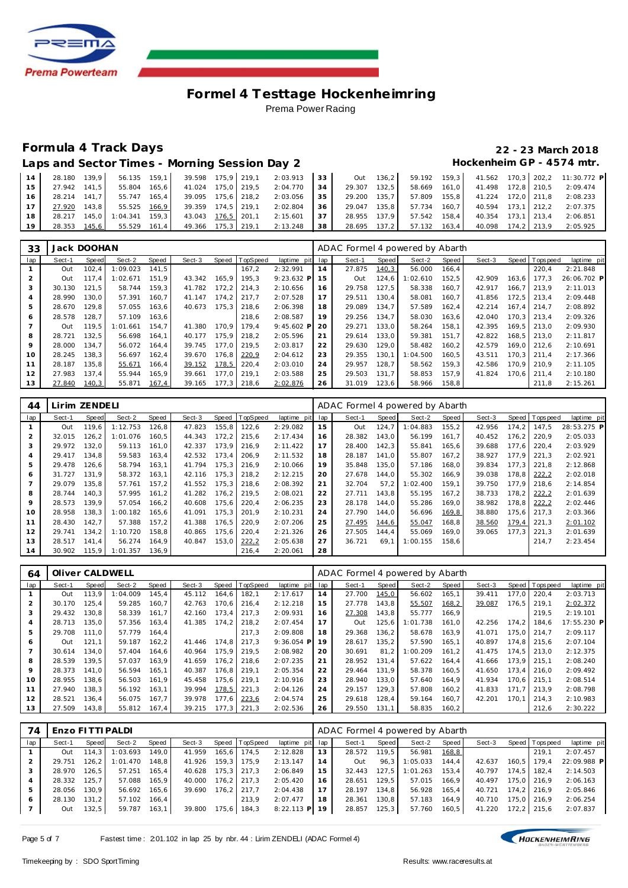

# **Formula 4 Track Days 22 - 23 March 2018**

| Laps and Sector Times - Morning Session Day 2 | Hockenheim GP - 4574 mtr. |
|-----------------------------------------------|---------------------------|
|-----------------------------------------------|---------------------------|

| 14 | 28.180       | 139.9 | 56.135 159.1                |       | 39.598 175.9 219.1 |  | 2:03.913 | 33   | Out          |       |                     |         |                    |             |             | 136,2 59.192 159,3 41.562 170,3 202,2 11:30.772 P |
|----|--------------|-------|-----------------------------|-------|--------------------|--|----------|------|--------------|-------|---------------------|---------|--------------------|-------------|-------------|---------------------------------------------------|
| 15 | 27.942 141.5 |       | 55.804                      | 165.6 | 41.024 175.0 219.5 |  | 2:04.770 | 34   | 29.307       | 132.5 | 58.669 161.0        |         | 41.498 172,8 210,5 |             |             | 2:09.474                                          |
| 16 | 28.214 141.7 |       | 55.747 165.4                |       | 39.095 175,6 218,2 |  | 2:03.056 | 35 I |              |       | 29.200 135.7 57.809 | 155.8   | 41.224 172.0 211.8 |             |             | 2:08.233                                          |
|    | 27.920       | 143.8 | 55.525 166.9                |       | 39.359 174.5 219.1 |  | 2:02.804 | 36 l | 29.047 135.8 |       | 57.734 160.7        |         | 40.594 173.1 212.2 |             |             | 2:07.375                                          |
| 18 |              |       | 28.217 145.0 1:04.341 159.3 |       | 43.043 176.5 201.1 |  | 2:15.601 | 37   | 28.955 137.9 |       | $57.542$ 158.4      |         | 40.354             | 173.1 213.4 |             | 2:06.851                                          |
| 19 | 28.353       | 145.6 | $55.529$ 161.4              |       | 49.366 175.3 219.1 |  | 2:13.248 | 38   | 28.695 137.2 |       | 57.132              | $163.4$ | 40.098             |             | 174.2 213.9 | 2:05.925                                          |

| 33  | Jack DOOHAN |       |          |       |        |       |          |              |     | ADAC Formel 4 powered by Abarth |       |          |       |        |       |            |             |
|-----|-------------|-------|----------|-------|--------|-------|----------|--------------|-----|---------------------------------|-------|----------|-------|--------|-------|------------|-------------|
| lap | Sect-1      | Speed | Sect-2   | Speed | Sect-3 | Speed | TopSpeed | laptime pit  | lap | Sect-1                          | Speed | Sect-2   | Speed | Sect-3 | Speed | I Topspeed | laptime pit |
|     | Out         | 102.4 | 1:09.023 | 141.5 |        |       | 167,2    | 2:32.991     | 14  | 27.875                          | 140,3 | 56.000   | 166.4 |        |       | 220.4      | 2:21.848    |
|     | Out         | 117.4 | 1:02.671 | 151.9 | 43.342 | 165.9 | 195.3    | $9:23.632$ P | 15  | Out                             | 124,6 | 1:02.610 | 152,5 | 42.909 | 163,6 | 177.3      | 26:06.702 P |
| 3   | 30.130      | 121.5 | 58.744   | 159.3 | 41.782 | 172,2 | 214.3    | 2:10.656     | 16  | 29.758                          | 127.5 | 58.338   | 160.7 | 42.917 | 166.7 | 213.9      | 2:11.013    |
| 4   | 28.990      | 130.0 | 57.391   | 160.7 | 41.147 | 174.2 | 217.7    | 2:07.528     | 17  | 29.511                          | 130.4 | 58.081   | 160.7 | 41.856 | 172.5 | 213.4      | 2:09.448    |
| 5   | 28.670      | 129.8 | 57.055   | 163,6 | 40.673 | 175.3 | 218,6    | 2:06.398     | 18  | 29.089                          | 134.7 | 57.589   | 162,4 | 42.214 | 167.4 | 214.7      | 2:08.892    |
| 6   | 28.578      | 128.7 | 57.109   | 163,6 |        |       | 218.6    | 2:08.587     | 19  | 29.256                          | 134.7 | 58.030   | 163,6 | 42.040 | 170.3 | 213.4      | 2:09.326    |
|     | Out         | 119.5 | 1:01.661 | 154.7 | 41.380 | 170.9 | 179.4    | $9:45.602$ P | 20  | 29.271                          | 133,0 | 58.264   | 158,1 | 42.395 | 169.5 | 213.0      | 2:09.930    |
| 8   | 28.721      | 132.5 | 56.698   | 164.1 | 40.177 | 175.9 | 218.2    | 2:05.596     | 21  | 29.614                          | 133.0 | 59.381   | 151.7 | 42.822 | 168,5 | 213.0      | 2:11.817    |
| 9   | 28,000      | 134.7 | 56.072   | 164,4 | 39.745 | 177.0 | 219.5    | 2:03.817     | 22  | 29.630                          | 129,0 | 58.482   | 160,2 | 42.579 | 169.0 | 212,6      | 2:10.691    |
| 10  | 28.245      | 138.3 | 56.697   | 162,4 | 39.670 | 176.8 | 220,9    | 2:04.612     | 23  | 29.355                          | 130.1 | 1:04.500 | 160.5 | 43.511 | 170.3 | 211.4      | 2:17.366    |
| 11  | 28.187      | 135.8 | 55.671   | 166.4 | 39.152 | 178,5 | 220.4    | 2:03.010     | 24  | 29.957                          | 128.7 | 58.562   | 159.3 | 42.586 | 170.9 | 210.9      | 2:11.105    |
| 12  | 27.983      | 137.4 | 55.944   | 165,9 | 39.661 | 177.0 | 219.1    | 2:03.588     | 25  | 29.503                          | 131.7 | 58.853   | 157,9 | 41.824 | 170.6 | 211,4      | 2:10.180    |
| 13  | 27.840      | 140,3 | 55.871   | 167,4 | 39.165 | 177,3 | 218.6    | 2:02.876     | 26  | 31.019                          | 123,6 | 58.966   | 158,8 |        |       | 211,8      | 2:15.261    |

| 44             | Lirim ZENDELI |       |          |       |        |       |                 |             |     | ADAC Formel 4 powered by Abarth |              |          |       |        |       |          |             |
|----------------|---------------|-------|----------|-------|--------|-------|-----------------|-------------|-----|---------------------------------|--------------|----------|-------|--------|-------|----------|-------------|
| lap            | Sect-1        | Speed | Sect-2   | Speed | Sect-3 | Speed | TopSpeed        | laptime pit | lap | Sect-1                          | <b>Speed</b> | Sect-2   | Speed | Sect-3 | Speed | Topspeed | laptime pit |
|                | Out           | 119.6 | 1:12.753 | 126.8 | 47.823 | 155,8 | 122,6           | 2:29.082    | 15  | Out                             | 124,7        | 1:04.883 | 155,2 | 42.956 | 174.2 | 147.5    | 28:53.275 P |
| 2              | 32.015        | 126.2 | 1:01.076 | 160.5 | 44.343 |       | 172,2 215,6     | 2:17.434    | 16  | 28.382                          | 143.0        | 56.199   | 161.7 | 40.452 | 176.2 | 220.9    | 2:05.033    |
| 3              | 29.972        | 132,0 | 59.113   | 161,0 | 42.337 | 173.9 | 216.9           | 2:11.422    | 17  | 28.400                          | 142,3        | 55.841   | 165,6 | 39.688 | 177.6 | 220,4    | 2:03.929    |
| $\overline{4}$ | 29.417        | 134.8 | 59.583   | 163.4 | 42.532 | 173.4 | 206.9           | 2:11.532    | 18  | 28.187                          | 141.0        | 55.807   | 167.2 | 38.927 | 177.9 | 221.3    | 2:02.921    |
| 5              | 29.478        | 126.6 | 58.794   | 163.1 | 41.794 |       | 175.3 216.9     | 2:10.066    | 19  | 35.848                          | 135.0        | 57.186   | 168.0 | 39.834 | 177.3 | 221.8    | 2:12.868    |
| 6              | 31.727        | 131.9 | 58.372   | 163.1 | 42.116 |       | $175.3$   218.2 | 2:12.215    | 20  | 27.678                          | 144.0        | 55.302   | 166.9 | 39.038 | 178.8 | 222,2    | 2:02.018    |
| $\overline{7}$ | 29.079        | 135.8 | 57.761   | 157.2 | 41.552 |       | 175.3 218.6     | 2:08.392    | 21  | 32.704                          | 57.2         | 1:02.400 | 159.1 | 39.750 | 177.9 | 218.6    | 2:14.854    |
| 8              | 28.744        | 140.3 | 57.995   | 161.2 | 41.282 |       | 176.2 219.5     | 2:08.021    | 22  | 27.711                          | 143.8        | 55.195   | 167.2 | 38.733 | 178.2 | 222,2    | 2:01.639    |
| 9              | 28.573        | 139.9 | 57.054   | 166,2 | 40.608 |       | 175,6 220,4     | 2:06.235    | 23  | 28.178                          | 144.0        | 55.286   | 169.0 | 38.982 | 178.8 | 222,2    | 2:02.446    |
| 10             | 28.958        | 138,3 | 1:00.182 | 165,6 | 41.091 | 175,3 | 201.9           | 2:10.231    | 24  | 27.790                          | 144.0        | 56.696   | 169,8 | 38.880 | 175,6 | 217.3    | 2:03.366    |
| 11             | 28.430        | 142.7 | 57.388   | 157.2 | 41.388 |       | $176.5$   220.9 | 2:07.206    | 25  | 27.495                          | 144,6        | 55.047   | 168,8 | 38.560 | 179,4 | 221.3    | 2:01.102    |
| 12             | 29.741        | 134.2 | 1:10.720 | 158.8 | 40.865 | 175.6 | 220.4           | 2:21.326    | 26  | 27.505                          | 144.4        | 55.069   | 169.0 | 39.065 | 177.3 | 221.3    | 2:01.639    |
| 13             | 28.517        | 141.4 | 56.274   | 164.9 | 40.847 | 153,0 | 222,2           | 2:05.638    | 27  | 36.721                          | 69.1         | 1:00.155 | 158,6 |        |       | 214.7    | 2:23.454    |
| 14             | 30.902        | 115,9 | 1:01.357 | 136,9 |        |       | 216,4           | 2:20.061    | 28  |                                 |              |          |       |        |       |          |             |

| 64             | Oliver CALDWELL |       |          |        |        |       |          |              |     | ADAC Formel 4 powered by Abarth |       |          |        |        |       |                 |             |
|----------------|-----------------|-------|----------|--------|--------|-------|----------|--------------|-----|---------------------------------|-------|----------|--------|--------|-------|-----------------|-------------|
| lap            | Sect-1          | Speed | Sect-2   | Speed  | Sect-3 | Speed | TopSpeed | laptime pit  | lap | Sect-1                          | Speed | Sect-2   | Speed  | Sect-3 |       | Speed Tops peed | laptime pit |
|                | Out             | 113.9 | : 04.009 | 145.4  | 45.112 | 164,6 | 182.1    | 2:17.617     | 14  | 27.700                          | 145,0 | 56.602   | 165,1  | 39.411 | 177.0 | 220.4           | 2:03.713    |
| $\overline{2}$ | 30.170          | 125.4 | 59.285   | 160.7  | 42.763 | 170.6 | 216.4    | 2:12.218     | 15  | 27.778                          | 143.8 | 55.507   | 168,2  | 39.087 | 176.5 | 219.1           | 2:02.372    |
| 3              | 29.432          | 130.8 | 58.339   | 161.7  | 42.160 | 173.4 | 217.3    | 2:09.931     | 16  | 27.308                          | 143.8 | 55.777   | 166,9  |        |       | 219.5           | 2:19.101    |
| 4              | 28.713          | 135,0 | 57.356   | 163,4  | 41.385 | 174,2 | 218,2    | 2:07.454     | 17  | Out                             | 125,6 | 1:01.738 | 161,0  | 42.256 | 174.2 | 184,6           | 17:55.230 P |
| 5              | 29.708          | 111.0 | 57.779   | 164,4  |        |       | 217.3    | 2:09.808     | 18  | 29.368                          | 136.2 | 58.678   | 163,9  | 41.071 | 175.0 | 214.7           | 2:09.117    |
| 6              | Out             | 121,1 | 59.187   | 162, 2 | 41.446 | 174.8 | 217.3    | $9:36.054$ P | 19  | 28.617                          | 135,2 | 57.590   | 165, 1 | 40.897 | 174.8 | 215.6           | 2:07.104    |
|                | 30.614          | 134.0 | 57.404   | 164,6  | 40.964 | 175,9 | 219.5    | 2:08.982     | 20  | 30.691                          | 81.2  | 1:00.209 | 161.2  | 41.475 | 174.5 | 213.0           | 2:12.375    |
| 8              | 28.539          | 139.5 | 57.037   | 163.9  | 41.659 | 176.2 | 218.6    | 2:07.235     | 21  | 28.952                          | 131.4 | 57.622   | 164.4  | 41.666 | 173.9 | 215.1           | 2:08.240    |
| 9              | 28.373          | 141.0 | 56.594   | 165.1  | 40.387 | 176.8 | 219.1    | 2:05.354     | 22  | 29.464                          | 131.9 | 58.378   | 160.5  | 41.650 | 173.4 | 216.0           | 2:09.492    |
| 10             | 28.955          | 138.6 | 56.503   | 161.9  | 45.458 | 175,6 | 219.1    | 2:10.916     | 23  | 28.940                          | 133.0 | 57.640   | 164.9  | 41.934 | 170.6 | 215.1           | 2:08.514    |
| 11             | 27.940          | 138.3 | 56.192   | 163.1  | 39.994 | 178,5 | 221,3    | 2:04.126     | 24  | 29.157                          | 129,3 | 57.808   | 160,2  | 41.833 | 171.7 | 213.9           | 2:08.798    |
| 12             | 28.521          | 136.4 | 56.075   | 167.7  | 39.978 | 177.6 | 223,6    | 2:04.574     | 25  | 29.618                          | 128.4 | 59.164   | 160.7  | 42.201 | 170.1 | 214.3           | 2:10.983    |
| 13             | 27.509          | 143,8 | 55.812   | 167,4  | 39.215 | 177,3 | 221,3    | 2:02.536     | 26  | 29.550                          | 131.1 | 58.835   | 160,2  |        |       | 212,6           | 2:30.222    |

| 74  | Enzo FITTI PALDI |           |          |       |        |        |                |                 |    | ADAC Formel 4 powered by Abarth |       |          |        |        |                 |             |
|-----|------------------|-----------|----------|-------|--------|--------|----------------|-----------------|----|---------------------------------|-------|----------|--------|--------|-----------------|-------------|
| lap | Sect-1           | Speed     | Sect-2   | Speed | Sect-3 |        | Speed TopSpeed | laptime pit lap |    | Sect-1                          | Speed | Sect-2   | Speed  | Sect-3 | Speed Tops peed | laptime pit |
|     | Out              | 114.3     | 1:03.693 | 149.0 | 41.959 | 165.6  | 174.5          | 2:12.828        | 13 | 28.572                          | 119.5 | 56.981   | 168,8  |        | 219.1           | 2:07.457    |
|     | 29.751           | 126.2     | 1:01.470 | 148.8 | 41.926 | 159.3  | 175.9          | 2:13.147        | 14 | Out                             | 96.3  | 1:05.033 | 144.4  | 42.637 | 160.5 179.4     | 22:09.988 P |
| 3   | 28.970           | 126.5     | 57.251   | 165.4 | 40.628 | 175.3  | 217.3          | 2:06.849        | 15 | 32.443                          | 127.5 | 1:01.263 | 153.4  | 40.797 | 174,5 182,4     | 2:14.503    |
| 4   | 28.332           | 125.7     | 57.088   | 165.9 | 40.000 | 176.2  | 217.3          | 2:05.420        | 16 | 28.651                          | 129.5 | 57.015   | 166.9  | 40.497 | 175.0 216.9     | 2:06.163    |
| 5   | 28.056           | 130.9     | 56.692   | 165.6 | 39.690 | 176, 2 | 217.7          | 2:04.438        | 17 | 28.197                          | 134.8 | 56.928   | 165.4  | 40.721 | 174.2 216.9     | 2:05.846    |
| 6   | 28.130           | $131.2$ I | 57.102   | 166.4 |        |        | 213.9          | 2:07.477        | 18 | 28.361                          | 130.8 | 57.183   | 164.9  | 40.710 | 175.0 216.9     | 2:06.254    |
|     | Out              | 132,5     | 59.787   | 163.1 | 39.800 | 175,6  | 184,3          | 8:22.113 PL 19  |    | 28.857                          | 125,3 | 57.760   | 160, 5 | 41.220 | 172,2 215,6     | 2:07.837    |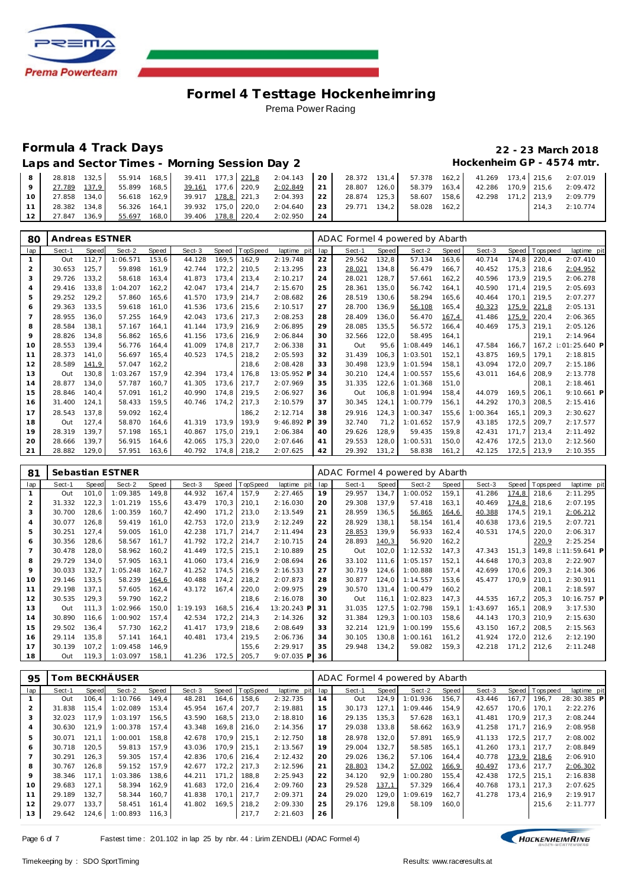

# **Formula 4 Track Days 22 - 23 March 2018**

Laps and Sector Times - Morning Session Day 2 **Hockenheim GP** - 4574 mtr.

| 8      | 28.818 132.5        |                 | 55.914 168.5 39.411 177.3 221.8 2:04.143 20 28.372 131.4 57.378 162.2 |          |                 |              |        |         |        |             | 41.269 173.4 215.6 2:07.019 |
|--------|---------------------|-----------------|-----------------------------------------------------------------------|----------|-----------------|--------------|--------|---------|--------|-------------|-----------------------------|
|        | 27.789 137.9        | 55.899 168.5    | 39.161 177.6 220.9                                                    | 2:02.849 | 21              | 28.807 126.0 | 58.379 | $163.4$ | 42.286 |             | 170.9 215.6 2:09.472        |
| $10-1$ | 27.858 134.0        | 56.618 162,9    | 39.917 178.8 221,3 2:04.393 22                                        |          |                 | 28.874 125,3 | 58.607 | 158.6   | 42.298 | 171.2 213.9 | 2:09.779                    |
| 11'    | 28.382 134.8        | 56.326 164.1    | 39.932 175,0 220,0                                                    | 2:04.640 | 23 <sup>1</sup> | 29.771 134.2 | 58.028 | 162.2   |        |             | $214.3$ $2:10.774$          |
| 12     | $136.9$  <br>27.847 | 168,0<br>55.697 | 39.406 178.8 220,4                                                    | 2:02.950 | 24              |              |        |         |        |             |                             |

| 80             | Andreas ESTNER |       |          |       |        |       |         |             |     | ADAC Formel 4 powered by Abarth |       |          |       |          |       |            |                 |
|----------------|----------------|-------|----------|-------|--------|-------|---------|-------------|-----|---------------------------------|-------|----------|-------|----------|-------|------------|-----------------|
| lap            | Sect-1         | Speed | Sect-2   | Speed | Sect-3 | Speed | opSpeed | laptime pit | lap | Sect-1                          | Speed | Sect-2   | Speed | Sect-3   | Speed | T ops peed | laptime pit     |
|                | Out            | 112,7 | 1:06.571 | 153,6 | 44.128 | 169,5 | 162,9   | 2:19.748    | 22  | 29.562                          | 132,8 | 57.134   | 163,6 | 40.714   | 174,8 | 220,4      | 2:07.410        |
| 2              | 30.653         | 125,7 | 59.898   | 161,9 | 42.744 | 172,2 | 210,5   | 2:13.295    | 23  | 28.021                          | 134,8 | 56.479   | 166,7 | 40.452   | 175,3 | 218,6      | 2:04.952        |
| 3              | 29.726         | 133,2 | 58.618   | 163,4 | 41.873 | 173,4 | 213,4   | 2:10.217    | 24  | 28.021                          | 128,7 | 57.661   | 162,2 | 40.596   | 173,9 | 219,5      | 2:06.278        |
| 4              | 29.416         | 133.8 | 1:04.207 | 162,2 | 42.047 | 173,4 | 214,7   | 2:15.670    | 25  | 28.361                          | 135,0 | 56.742   | 164,1 | 40.590   | 171.4 | 219.5      | 2:05.693        |
| 5              | 29.252         | 129,2 | 57.860   | 165,6 | 41.570 | 173,9 | 214,7   | 2:08.682    | 26  | 28.519                          | 130,6 | 58.294   | 165,6 | 40.464   | 170.1 | 219,5      | 2:07.277        |
| 6              | 29.363         | 133,5 | 59.618   | 161,0 | 41.536 | 173,6 | 215,6   | 2:10.517    | 27  | 28.700                          | 136,9 | 56.108   | 165,4 | 40.323   | 175,9 | 221,8      | 2:05.131        |
| $\overline{7}$ | 28.955         | 136.0 | 57.255   | 164.9 | 42.043 | 173.6 | 217,3   | 2:08.253    | 28  | 28.409                          | 136.0 | 56.470   | 167,4 | 41.486   | 175,9 | 220.4      | 2:06.365        |
| 8              | 28.584         | 138.1 | 57.167   | 164.1 | 41.144 | 173.9 | 216.9   | 2:06.895    | 29  | 28.085                          | 135.5 | 56.572   | 166,4 | 40.469   | 175,3 | 219.1      | 2:05.126        |
| 9              | 28.826         | 134.8 | 56.862   | 165.6 | 41.156 | 173.6 | 216.9   | 2:06.844    | 30  | 32.566                          | 122,0 | 58.495   | 164.1 |          |       | 219.1      | 2:14.964        |
| 10             | 28.553         | 139,4 | 56.776   | 164.4 | 41.009 | 174,8 | 217,7   | 2:06.338    | 31  | Out                             | 95.6  | 1:08.449 | 146.1 | 47.584   | 166.7 | 167.2      | $1:01:25.640$ P |
| 11             | 28.373         | 141.0 | 56.697   | 165.4 | 40.523 | 174.5 | 218.2   | 2:05.593    | 32  | 31.439                          | 106.3 | 1:03.501 | 152.1 | 43.875   | 169.5 | 179.1      | 2:18.815        |
| 12             | 28.589         | 141.9 | 57.047   | 162,2 |        |       | 218.6   | 2:08.428    | 33  | 30.498                          | 123,9 | 1:01.594 | 158.1 | 43.094   | 172,0 | 209.7      | 2:15.186        |
| 13             | Out            | 130,8 | 1:03.267 | 157.9 | 42.394 | 173,4 | 176.8   | 13:05.952 F | 34  | 30.210                          | 124.4 | 1:00.557 | 155.6 | 43.011   | 164.6 | 208.9      | 2:13.778        |
| 14             | 28.877         | 134.0 | 57.787   | 160.7 | 41.305 | 173,6 | 217.7   | 2:07.969    | 35  | 31.335                          | 122.6 | 1:01.368 | 151.0 |          |       | 208.1      | 2:18.461        |
| 15             | 28.846         | 140.4 | 57.091   | 161,2 | 40.990 | 174.8 | 219,5   | 2:06.927    | 36  | Out                             | 106.8 | 1:01.994 | 158.4 | 44.079   | 169.5 | 206.1      | 9:10.661 P      |
| 16             | 31.400         | 124,1 | 58.433   | 159,5 | 40.746 | 174,2 | 217.3   | 2:10.579    | 37  | 30.345                          | 124,1 | 1:00.779 | 156.1 | 44.292   | 170.3 | 208.5      | 2:15.416        |
| 17             | 28.543         | 137,8 | 59.092   | 162,4 |        |       | 186.2   | 2:12.714    | 38  | 29.916                          | 124,3 | 1:00.347 | 155.6 | : 00.364 | 165.1 | 209.3      | 2:30.627        |
| 18             | Out            | 127.4 | 58.870   | 164.6 | 41.319 | 173,9 | 193.9   | 9:46.892 P  | 39  | 32.740                          | 71,2  | 1:01.652 | 157.9 | 43.185   | 172.5 | 209.7      | 2:17.577        |
| 19             | 28.319         | 139.7 | 57.198   | 165.1 | 40.867 | 175.0 | 219.1   | 2:06.384    | 40  | 29.626                          | 128.9 | 59.435   | 159.8 | 42.431   | 171.7 | 213.4      | 2:11.492        |
| 20             | 28.666         | 139.7 | 56.915   | 164.6 | 42.065 | 175,3 | 220,0   | 2:07.646    | 41  | 29.553                          | 128.0 | 1:00.531 | 150,0 | 42.476   | 172.5 | 213,0      | 2:12.560        |
| 21             | 28.882         | 129.0 | 57.951   | 163.6 | 40.792 | 174,8 | 218,2   | 2:07.625    | 42  | 29.392                          | 131,2 | 58.838   | 161,2 | 42.125   | 172,5 | 213,9      | 2:10.355        |

| 81             |        |        | Sebastian ESTNER |       |          |        |                 |              |     | ADAC Formel 4 powered by Abarth |       |          |       |          |       |                |                 |
|----------------|--------|--------|------------------|-------|----------|--------|-----------------|--------------|-----|---------------------------------|-------|----------|-------|----------|-------|----------------|-----------------|
| lap            | Sect-1 | Speed  | Sect-2           | Speed | Sect-3   | Speed  | <b>TopSpeed</b> | laptime pit  | lap | Sect-1                          | Speed | Sect-2   | Speed | Sect-3   |       | Speed Topspeed | laptime pit     |
|                | Out    | 101.0  | 1:09.385         | 149,8 | 44.932   | 167,4  | 157.9           | 2:27.465     | 19  | 29.957                          | 134,7 | 1:00.052 | 159,1 | 41.286   | 174,8 | 218,6          | 2:11.295        |
| $\overline{2}$ | 31.332 | 122,3  | 1:01.219         | 155,6 | 43.479   | 170.3  | 210.1           | 2:16.030     | 20  | 29.308                          | 137.9 | 57.418   | 163,1 | 40.469   | 174,8 | 218,6          | 2:07.195        |
| 3              | 30.700 | 128,6  | 1:00.359         | 160,7 | 42.490   | 171, 2 | 213,0           | 2:13.549     | 21  | 28.959                          | 136,5 | 56.865   | 164,6 | 40.388   | 174,5 | 219,1          | 2:06.212        |
| $\overline{4}$ | 30.077 | 126.8  | 59.419           | 161,0 | 42.753   | 172,0  | 213,9           | 2:12.249     | 22  | 28.929                          | 138,1 | 58.154   | 161,4 | 40.638   | 173,6 | 219.5          | 2:07.721        |
| 5              | 30.251 | 127,4  | 59.005           | 161,0 | 42.238   | 171.7  | 214,7           | 2:11.494     | 23  | 28.853                          | 139,9 | 56.933   | 162,4 | 40.531   | 174,5 | 220,0          | 2:06.317        |
| 6              | 30.356 | 128,6  | 58.567           | 161.7 | 41.792   | 172,2  | 214.7           | 2:10.715     | 24  | 28.893                          | 140,3 | 56.920   | 162,2 |          |       | 220,9          | 2:25.254        |
| $\overline{7}$ | 30.478 | 128.0  | 58.962           | 160,2 | 41.449   | 172,5  | 215,1           | 2:10.889     | 25  | Out                             | 102,0 | 1:12.532 | 147,3 | 47.343   | 151,3 | 149.8          | $1:11:59.641$ P |
| 8              | 29.729 | 134,0  | 57.905           | 163,1 | 41.060   | 173,4  | 216,9           | 2:08.694     | 26  | 33.102                          | 111.6 | 1:05.157 | 152,1 | 44.648   | 170,3 | 203,8          | 2:22.907        |
| 9              | 30.033 | 132.7  | 1:05.248         | 162.7 | 41.252   | 174.5  | 216,9           | 2:16.533     | 27  | 30.719                          | 124.6 | 1:00.888 | 157,4 | 42.699   | 170.6 | 209.3          | 2:14.306        |
| 10             | 29.146 | 133,5  | 58.239           | 164,6 | 40.488   | 174,2  | 218,2           | 2:07.873     | 28  | 30.877                          | 124,0 | 1:14.557 | 153,6 | 45.477   | 170,9 | 210,1          | 2:30.911        |
| 11             | 29.198 | 137.1  | 57.605           | 162,4 | 43.172   | 167,4  | 220,0           | 2:09.975     | 29  | 30.570                          | 131,4 | 1:00.479 | 160,2 |          |       | 208,1          | 2:18.597        |
| 12             | 30.535 | 129,3  | 59.790           | 162,2 |          |        | 218,6           | 2:16.078     | 30  | Out                             | 116.1 | 1:02.823 | 147,3 | 44.535   | 167,2 | 205,3          | 10:16.757 P     |
| 13             | Out    | 111.3  | 1:02.966         | 150,0 | 1:19.193 | 168.5  | 216,4           | 13:20.243 P  | 31  | 31.035                          | 127,5 | 1:02.798 | 159,1 | I:43.697 | 165,1 | 208,9          | 3:17.530        |
| 14             | 30.890 | 116,6  | 1:00.902         | 157,4 | 42.534   | 172,2  | 214,3           | 2:14.326     | 32  | 31.384                          | 129,3 | 1:00.103 | 158,6 | 44.143   | 170,3 | 210,9          | 2:15.630        |
| 15             | 29.502 | 136.4  | 57.730           | 162,2 | 41.417   | 173,9  | 218,6           | 2:08.649     | 33  | 32.214                          | 121,9 | 1:00.199 | 155,6 | 43.150   | 167,2 | 208,5          | 2:15.563        |
| 16             | 29.114 | 135,8  | 57.141           | 164,1 | 40.481   | 173,4  | 219,5           | 2:06.736     | 34  | 30.105                          | 130,8 | 1:00.161 | 161,2 | 41.924   | 172,0 | 212,6          | 2:12.190        |
| 17             | 30.139 | 107, 2 | 1:09.458         | 146,9 |          |        | 155,6           | 2:29.917     | 35  | 29.948                          | 134,2 | 59.082   | 159,3 | 42.218   | 171,2 | 212,6          | 2:11.248        |
| 18             | Out    | 119.3  | 1:03.097         | 158,1 | 41.236   | 172,5  | 205,7           | $9:07.035$ P | 36  |                                 |       |          |       |          |       |                |                 |

| 95  | om BECKHÄUSER <sup>.</sup> |       |          |       |        |       |                |             | ADAC Formel 4 powered by Abarth |        |       |          |       |        |       |                |             |
|-----|----------------------------|-------|----------|-------|--------|-------|----------------|-------------|---------------------------------|--------|-------|----------|-------|--------|-------|----------------|-------------|
| lap | Sect-1                     | Speed | Sect-2   | Speed | Sect-3 |       | Speed TopSpeed | laptime pit | lap                             | Sect-1 | Speed | Sect-2   | Speed | Sect-3 |       | Speed Topspeed | laptime pit |
|     | Out                        | 106.4 | 1:10.766 | 149.4 | 48.281 | 164.6 | 158.6          | 2:32.735    | 14                              | Out    | 124.9 | 1:01.936 | 156.7 | 43.446 | 167.7 | 196.7          | 28:30.385 P |
|     | 31.838                     | 115.4 | 1:02.089 | 153.4 | 45.954 | 167.4 | 207.7          | 2:19.881    | 15                              | 30.173 | 127.1 | 1:09.446 | 154.9 | 42.657 | 170.6 | 170.1          | 2:22.276    |
|     | 32.023                     | 117.9 | 1:03.197 | 156.5 | 43.590 | 168,5 | 213.0          | 2:18.810    | 16                              | 29.135 | 135.3 | 57.628   | 163.1 | 41.481 | 170.9 | 217.3          | 2:08.244    |
| 4   | 30.630                     | 121.9 | 1:00.378 | 157.4 | 43.348 | 169,8 | 216.0          | 2:14.356    | 17                              | 29.038 | 133,8 | 58.662   | 163,9 | 41.258 | 171.7 | 216.9          | 2:08.958    |
| 5   | 30.071                     | 121.1 | 1:00.001 | 158.8 | 42.678 | 170.9 | 215.1          | 2:12.750    | 18                              | 28.978 | 132.0 | 57.891   | 165.9 | 41.133 | 172.5 | 217.7          | 2:08.002    |
| 6   | 30.718                     | 120.5 | 59.813   | 157.9 | 43.036 | 170.9 | 215.1          | 2:13.567    | 19                              | 29.004 | 132.7 | 58.585   | 165.1 | 41.260 | 173.1 | 217.7          | 2:08.849    |
|     | 30.291                     | 126.3 | 59.305   | 157.4 | 42.836 | 170.6 | 216.4          | 2:12.432    | 20                              | 29.026 | 136,2 | 57.106   | 164.4 | 40.778 | 173,9 | 218,6          | 2:06.910    |
| 8   | 30.767                     | 126.8 | 59.152   | 157.9 | 42.677 | 172,2 | 217.3          | 2:12.596    | 21                              | 28.803 | 134,2 | 57.002   | 166,9 | 40.497 |       | 173,6 217,7    | 2:06.302    |
| 9   | 38.346                     | 117.1 | 1:03.386 | 138.6 | 44.211 | 171.2 | 188.8          | 2:25.943    | 22                              | 34.120 | 92.9  | 1:00.280 | 155.4 | 42.438 | 172.5 | 215.1          | 2:16.838    |
| 10  | 29.683                     | 127.1 | 58.394   | 162.9 | 41.683 | 172.0 | 216.4          | 2:09.760    | 23                              | 29.528 | 137,1 | 57.329   | 166.4 | 40.768 | 173.1 | 217.3          | 2:07.625    |
| 11  | 29.189                     | 132.7 | 58.344   | 160.7 | 41.838 | 170.1 | 217.7          | 2:09.371    | 24                              | 29.020 | 129.0 | 1:09.619 | 162.7 | 41.278 | 173.4 | 216.9          | 2:19.917    |
| 12  | 29.077                     | 133.7 | 58.451   | 161,4 | 41.802 | 169,5 | 218,2          | 2:09.330    | 25                              | 29.176 | 129,8 | 58.109   | 160,0 |        |       | 215,6          | 2:11.777    |
| 13  | 29.642                     | 124,6 | 1:00.893 | 116.3 |        |       | 217.7          | 2:21.603    | 26                              |        |       |          |       |        |       |                |             |